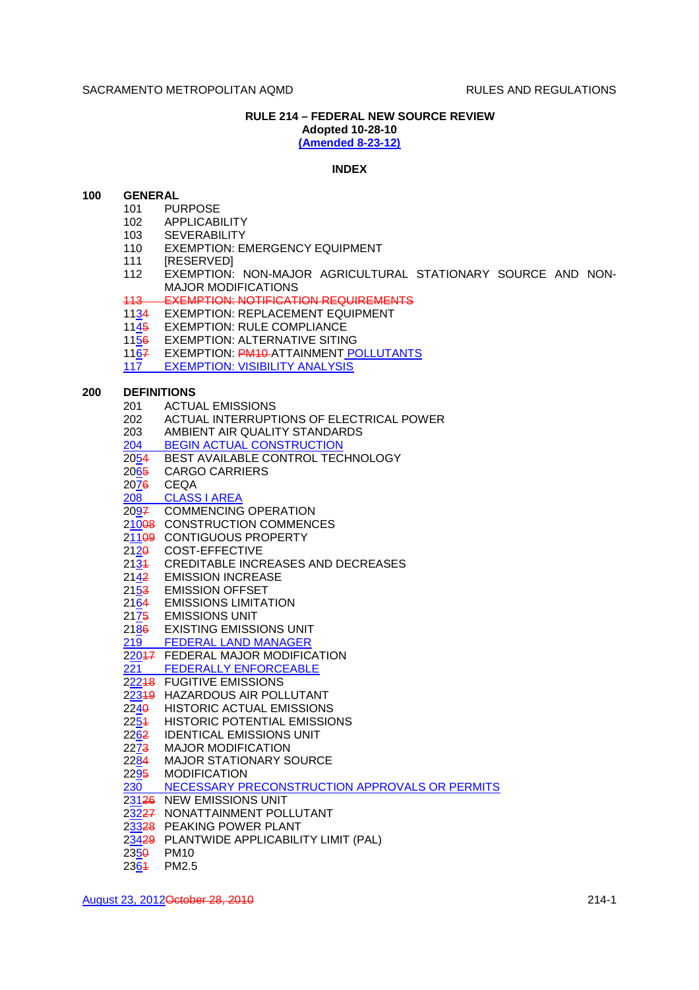## **RULE 214 – FEDERAL NEW SOURCE REVIEW**

**Adopted 10-28-10 (Amended 8-23-12)**

# **INDEX**

## **100 GENERAL**

- 101 PURPOSE
	- 102 APPLICABILITY
	- 103 SEVERABILITY
	- 110 EXEMPTION: EMERGENCY EQUIPMENT
- 111 [RESERVED]
- 112 EXEMPTION: NON-MAJOR AGRICULTURAL STATIONARY SOURCE AND NON-MAJOR MODIFICATIONS
- 113 EXEMPTION: NOTIFICATION REQUIREMENTS
- 1134 EXEMPTION: REPLACEMENT EQUIPMENT
- 1145 EXEMPTION: RULE COMPLIANCE
- 1156 EXEMPTION: ALTERNATIVE SITING
- 1167 EXEMPTION: PM10-ATTAINMENT POLLUTANTS
- 117 EXEMPTION: VISIBILITY ANALYSIS

## **200 DEFINITIONS**

- 201 ACTUAL EMISSIONS
- 202 ACTUAL INTERRUPTIONS OF ELECTRICAL POWER
- 203 AMBIENT AIR QUALITY STANDARDS
- 204 BEGIN ACTUAL CONSTRUCTION
- 2054 BEST AVAILABLE CONTROL TECHNOLOGY
- 2065 CARGO CARRIERS
- 2076 CEQA
- 208 CLASS I AREA
- 2097 COMMENCING OPERATION
- 21008 CONSTRUCTION COMMENCES
- 21109 CONTIGUOUS PROPERTY
- 2120 COST-EFFECTIVE
- 2131 CREDITABLE INCREASES AND DECREASES
- 2142 EMISSION INCREASE
- 2153 EMISSION OFFSET
- 2164 EMISSIONS LIMITATION
- 2175 EMISSIONS UNIT
- 
- 2186 EXISTING EMISSIONS UNIT<br>219 FEDERAL LAND MANAGER **FEDERAL LAND MANAGER**
- 22047 FEDERAL MAJOR MODIFICATION
- 221 FEDERALLY ENFORCEABLE
- 22248 FUGITIVE EMISSIONS
- 22319 HAZARDOUS AIR POLLUTANT
- 2240 HISTORIC ACTUAL EMISSIONS
- 2254 HISTORIC POTENTIAL EMISSIONS
- 2262 IDENTICAL EMISSIONS UNIT
- 2273 MAJOR MODIFICATION
- 2284 MAJOR STATIONARY SOURCE
- 2295 MODIFICATION
- 230 NECESSARY PRECONSTRUCTION APPROVALS OR PERMITS
- 23126 NEW EMISSIONS UNIT
- 23227 NONATTAINMENT POLLUTANT
- 23328 PEAKING POWER PLANT
- 23429 PLANTWIDE APPLICABILITY LIMIT (PAL)
- 2350 PM10
- 2364 PM2.5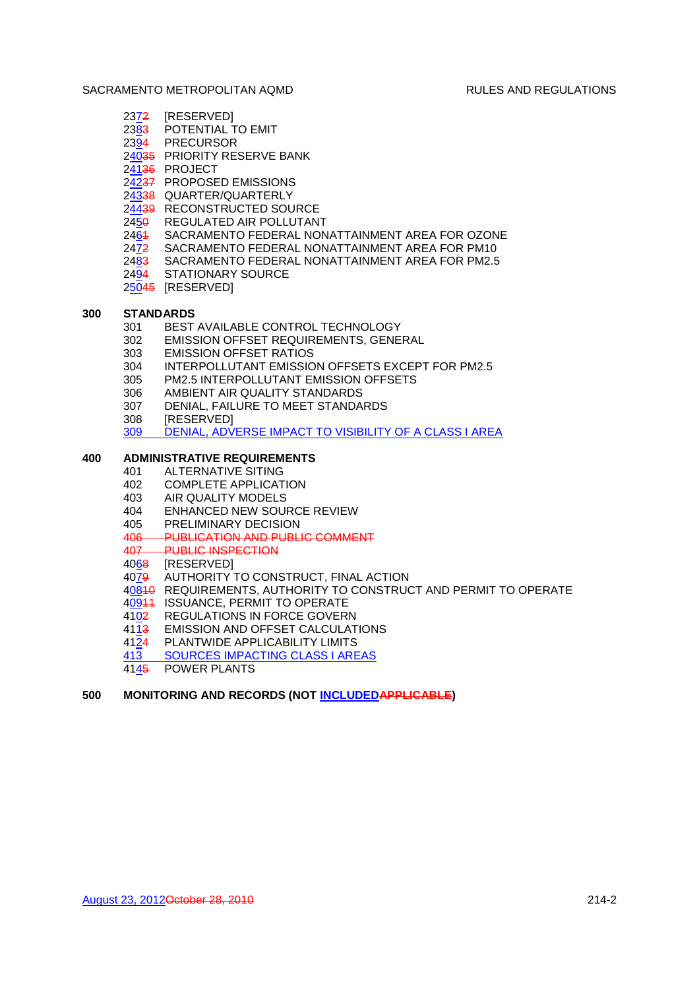- 2372 [RESERVED]
- 2383 POTENTIAL TO EMIT
- 2394 PRECURSOR
- 24035 PRIORITY RESERVE BANK
- 24136 PROJECT
- 24237 PROPOSED EMISSIONS
- 24338 QUARTER/QUARTERLY
- 24439 RECONSTRUCTED SOURCE
- 2450 REGULATED AIR POLLUTANT
- 2461 SACRAMENTO FEDERAL NONATTAINMENT AREA FOR OZONE
- 2472 SACRAMENTO FEDERAL NONATTAINMENT AREA FOR PM10
- 2483 SACRAMENTO FEDERAL NONATTAINMENT AREA FOR PM2.5
- 2494 STATIONARY SOURCE
- 25045 [RESERVED]

## **300 STANDARDS**

- 301 BEST AVAILABLE CONTROL TECHNOLOGY
- 302 EMISSION OFFSET REQUIREMENTS, GENERAL
- 303 EMISSION OFFSET RATIOS
- 304 INTERPOLLUTANT EMISSION OFFSETS EXCEPT FOR PM2.5
- 305 PM2.5 INTERPOLLUTANT EMISSION OFFSETS
- 306 AMBIENT AIR QUALITY STANDARDS
- 307 DENIAL, FAILURE TO MEET STANDARDS
- 308 [RESERVED]
- 309 DENIAL, ADVERSE IMPACT TO VISIBILITY OF A CLASS I AREA

# **400 ADMINISTRATIVE REQUIREMENTS**

- 401 ALTERNATIVE SITING
- 402 COMPLETE APPLICATION
- 403 AIR QUALITY MODELS
- 404 ENHANCED NEW SOURCE REVIEW
- 405 PRELIMINARY DECISION
- 406 PUBLICATION AND PUBLIC COMMENT
- 407 PUBLIC INSPECTION
- 4068 [RESERVED]
- 4079 AUTHORITY TO CONSTRUCT, FINAL ACTION
- 40810 REQUIREMENTS, AUTHORITY TO CONSTRUCT AND PERMIT TO OPERATE
- 40911 ISSUANCE, PERMIT TO OPERATE
- 4102 REGULATIONS IN FORCE GOVERN
- 4113 EMISSION AND OFFSET CALCULATIONS
- 4124 PLANTWIDE APPLICABILITY LIMITS
- 413 SOURCES IMPACTING CLASS I AREAS
- 4145 POWER PLANTS

# **500 MONITORING AND RECORDS (NOT INCLUDEDAPPLICABLE)**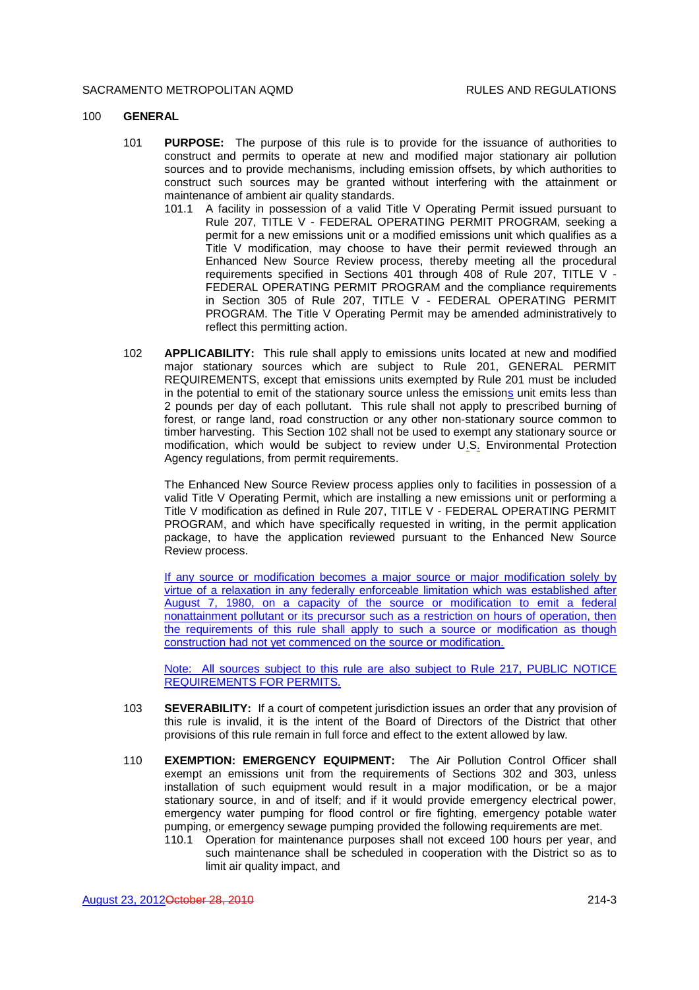#### 100 **GENERAL**

- 101 **PURPOSE:** The purpose of this rule is to provide for the issuance of authorities to construct and permits to operate at new and modified major stationary air pollution sources and to provide mechanisms, including emission offsets, by which authorities to construct such sources may be granted without interfering with the attainment or maintenance of ambient air quality standards.
	- 101.1 A facility in possession of a valid Title V Operating Permit issued pursuant to Rule 207, TITLE V - FEDERAL OPERATING PERMIT PROGRAM, seeking a permit for a new emissions unit or a modified emissions unit which qualifies as a Title V modification, may choose to have their permit reviewed through an Enhanced New Source Review process, thereby meeting all the procedural requirements specified in Sections 401 through 408 of Rule 207, TITLE V - FEDERAL OPERATING PERMIT PROGRAM and the compliance requirements in Section 305 of Rule 207, TITLE V - FEDERAL OPERATING PERMIT PROGRAM. The Title V Operating Permit may be amended administratively to reflect this permitting action.
- 102 **APPLICABILITY:** This rule shall apply to emissions units located at new and modified major stationary sources which are subject to Rule 201, GENERAL PERMIT REQUIREMENTS, except that emissions units exempted by Rule 201 must be included in the potential to emit of the stationary source unless the emissions unit emits less than 2 pounds per day of each pollutant. This rule shall not apply to prescribed burning of forest, or range land, road construction or any other non-stationary source common to timber harvesting. This Section 102 shall not be used to exempt any stationary source or modification, which would be subject to review under U.S. Environmental Protection Agency regulations, from permit requirements.

The Enhanced New Source Review process applies only to facilities in possession of a valid Title V Operating Permit, which are installing a new emissions unit or performing a Title V modification as defined in Rule 207, TITLE V - FEDERAL OPERATING PERMIT PROGRAM, and which have specifically requested in writing, in the permit application package, to have the application reviewed pursuant to the Enhanced New Source Review process.

If any source or modification becomes a major source or major modification solely by virtue of a relaxation in any federally enforceable limitation which was established after August 7, 1980, on a capacity of the source or modification to emit a federal nonattainment pollutant or its precursor such as a restriction on hours of operation, then the requirements of this rule shall apply to such a source or modification as though construction had not yet commenced on the source or modification.

Note: All sources subject to this rule are also subject to Rule 217, PUBLIC NOTICE REQUIREMENTS FOR PERMITS.

- 103 **SEVERABILITY:** If a court of competent jurisdiction issues an order that any provision of this rule is invalid, it is the intent of the Board of Directors of the District that other provisions of this rule remain in full force and effect to the extent allowed by law.
- 110 **EXEMPTION: EMERGENCY EQUIPMENT:** The Air Pollution Control Officer shall exempt an emissions unit from the requirements of Sections 302 and 303, unless installation of such equipment would result in a major modification, or be a major stationary source, in and of itself; and if it would provide emergency electrical power, emergency water pumping for flood control or fire fighting, emergency potable water pumping, or emergency sewage pumping provided the following requirements are met.
	- 110.1 Operation for maintenance purposes shall not exceed 100 hours per year, and such maintenance shall be scheduled in cooperation with the District so as to limit air quality impact, and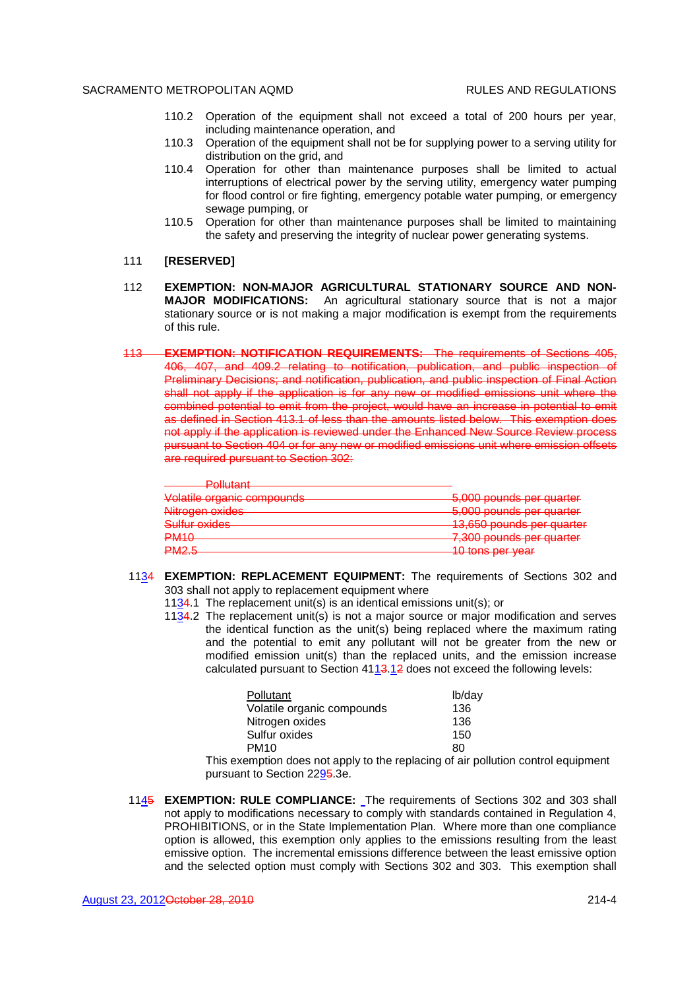- 110.2 Operation of the equipment shall not exceed a total of 200 hours per year, including maintenance operation, and
- 110.3 Operation of the equipment shall not be for supplying power to a serving utility for distribution on the grid, and
- 110.4 Operation for other than maintenance purposes shall be limited to actual interruptions of electrical power by the serving utility, emergency water pumping for flood control or fire fighting, emergency potable water pumping, or emergency sewage pumping, or
- 110.5 Operation for other than maintenance purposes shall be limited to maintaining the safety and preserving the integrity of nuclear power generating systems.
- 111 **[RESERVED]**
- 112 **EXEMPTION: NON-MAJOR AGRICULTURAL STATIONARY SOURCE AND NON-MAJOR MODIFICATIONS:** An agricultural stationary source that is not a major stationary source or is not making a major modification is exempt from the requirements of this rule.
- 113 **EXEMPTION: NOTIFICATION REQUIREMENTS:** The requirements of Sections 405, 406, 407, and 409.2 relating to notification, publication, and public inspection of Preliminary Decisions; and notification, publication, and public inspection of Final Action shall not apply if the application is for any new or modified emissions unit where the combined potential to emit from the project, would have an increase in potential to emit as defined in Section 413.1 of less than the amounts listed below. This exemption does not apply if the application is reviewed under the Enhanced New Source Review process pursuant to Section 404 or for any new or modified emissions unit where emission offsets are required pursuant to Section 302:

| D <sub>ol</sub><br><u>голован в</u>                                 |                                                                 |
|---------------------------------------------------------------------|-----------------------------------------------------------------|
| Volatile organic compounde<br><del>vulatile urganic compoundo</del> | 5.000 pounds par quarter<br><del>o,ooo poundo por quantor</del> |
| Nitrogen oxides                                                     | 5.000 pounds par quarter<br><del>o,ooo pounus por quanor</del>  |
| Sulfur ovidee<br><del>ounur uxiuos</del>                            | 13.650 nounds not quarter                                       |
| <b>PM10</b>                                                         | 7.300 pounds par quarter<br><del>r,ooo pounus por quanor</del>  |
| <b>DMOR</b><br>$\blacksquare$                                       | $10$ tone por voor<br><del>o tono por vour</del>                |

- 1134 **EXEMPTION: REPLACEMENT EQUIPMENT:** The requirements of Sections 302 and 303 shall not apply to replacement equipment where
	- 1134.1 The replacement unit(s) is an identical emissions unit(s); or
	- 1134.2 The replacement unit(s) is not a major source or major modification and serves the identical function as the unit(s) being replaced where the maximum rating and the potential to emit any pollutant will not be greater from the new or modified emission unit(s) than the replaced units, and the emission increase calculated pursuant to Section 4113.12 does not exceed the following levels:

This exemption does not apply to the replacing of air pollution control equipment pursuant to Section 2295.3e.

1145 **EXEMPTION: RULE COMPLIANCE:** The requirements of Sections 302 and 303 shall not apply to modifications necessary to comply with standards contained in Regulation 4, PROHIBITIONS, or in the State Implementation Plan. Where more than one compliance option is allowed, this exemption only applies to the emissions resulting from the least emissive option. The incremental emissions difference between the least emissive option and the selected option must comply with Sections 302 and 303. This exemption shall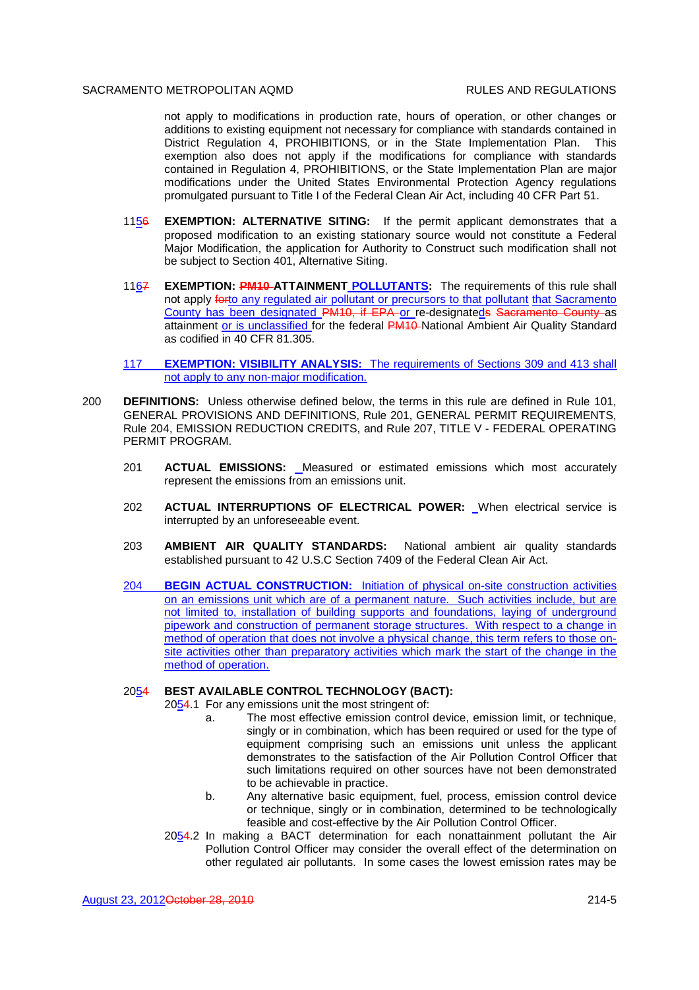not apply to modifications in production rate, hours of operation, or other changes or additions to existing equipment not necessary for compliance with standards contained in District Regulation 4, PROHIBITIONS, or in the State Implementation Plan. This exemption also does not apply if the modifications for compliance with standards contained in Regulation 4, PROHIBITIONS, or the State Implementation Plan are major modifications under the United States Environmental Protection Agency regulations promulgated pursuant to Title I of the Federal Clean Air Act, including 40 CFR Part 51.

- 1156 **EXEMPTION: ALTERNATIVE SITING:** If the permit applicant demonstrates that a proposed modification to an existing stationary source would not constitute a Federal Major Modification, the application for Authority to Construct such modification shall not be subject to Section 401, Alternative Siting.
- 1167 **EXEMPTION: PM10 ATTAINMENT POLLUTANTS:** The requirements of this rule shall not apply forto any regulated air pollutant or precursors to that pollutant that Sacramento County has been designated PM10, if EPA or re-designateds Sacramento County as attainment or is unclassified for the federal PM10 National Ambient Air Quality Standard as codified in 40 CFR 81.305.
- 117 **EXEMPTION: VISIBILITY ANALYSIS:** The requirements of Sections 309 and 413 shall not apply to any non-major modification.
- 200 **DEFINITIONS:** Unless otherwise defined below, the terms in this rule are defined in Rule 101, GENERAL PROVISIONS AND DEFINITIONS, Rule 201, GENERAL PERMIT REQUIREMENTS, Rule 204, EMISSION REDUCTION CREDITS, and Rule 207, TITLE V - FEDERAL OPERATING PERMIT PROGRAM.
	- 201 **ACTUAL EMISSIONS:** Measured or estimated emissions which most accurately represent the emissions from an emissions unit.
	- 202 **ACTUAL INTERRUPTIONS OF ELECTRICAL POWER:** When electrical service is interrupted by an unforeseeable event.
	- 203 **AMBIENT AIR QUALITY STANDARDS:** National ambient air quality standards established pursuant to 42 U.S.C Section 7409 of the Federal Clean Air Act.
	- 204 **BEGIN ACTUAL CONSTRUCTION:** Initiation of physical on-site construction activities on an emissions unit which are of a permanent nature. Such activities include, but are not limited to, installation of building supports and foundations, laying of underground pipework and construction of permanent storage structures. With respect to a change in method of operation that does not involve a physical change, this term refers to those onsite activities other than preparatory activities which mark the start of the change in the method of operation.

# 2054 **BEST AVAILABLE CONTROL TECHNOLOGY (BACT):**

2054.1 For any emissions unit the most stringent of:

- a. The most effective emission control device, emission limit, or technique, singly or in combination, which has been required or used for the type of equipment comprising such an emissions unit unless the applicant demonstrates to the satisfaction of the Air Pollution Control Officer that such limitations required on other sources have not been demonstrated to be achievable in practice.
- b. Any alternative basic equipment, fuel, process, emission control device or technique, singly or in combination, determined to be technologically feasible and cost-effective by the Air Pollution Control Officer.
- 2054.2 In making a BACT determination for each nonattainment pollutant the Air Pollution Control Officer may consider the overall effect of the determination on other regulated air pollutants. In some cases the lowest emission rates may be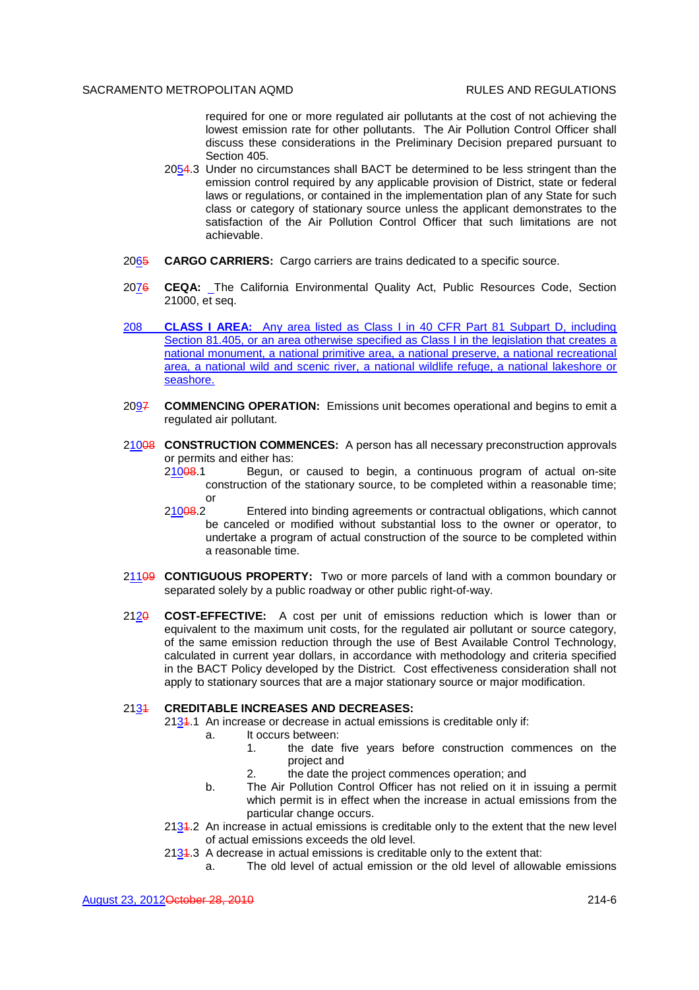required for one or more regulated air pollutants at the cost of not achieving the lowest emission rate for other pollutants. The Air Pollution Control Officer shall discuss these considerations in the Preliminary Decision prepared pursuant to Section 405.

- 2054.3 Under no circumstances shall BACT be determined to be less stringent than the emission control required by any applicable provision of District, state or federal laws or regulations, or contained in the implementation plan of any State for such class or category of stationary source unless the applicant demonstrates to the satisfaction of the Air Pollution Control Officer that such limitations are not achievable.
- 2065 **CARGO CARRIERS:** Cargo carriers are trains dedicated to a specific source.
- 2076 **CEQA:** The California Environmental Quality Act, Public Resources Code, Section 21000, et seq.
- 208 **CLASS I AREA:** Any area listed as Class I in 40 CFR Part 81 Subpart D, including Section 81.405, or an area otherwise specified as Class I in the legislation that creates a national monument, a national primitive area, a national preserve, a national recreational area, a national wild and scenic river, a national wildlife refuge, a national lakeshore or seashore.
- 2097 **COMMENCING OPERATION:** Emissions unit becomes operational and begins to emit a regulated air pollutant.
- 21008 **CONSTRUCTION COMMENCES:** A person has all necessary preconstruction approvals or permits and either has:
	- 21008.1 Begun, or caused to begin, a continuous program of actual on-site construction of the stationary source, to be completed within a reasonable time; or
	- 21008.2 Entered into binding agreements or contractual obligations, which cannot be canceled or modified without substantial loss to the owner or operator, to undertake a program of actual construction of the source to be completed within a reasonable time.
- 21109 **CONTIGUOUS PROPERTY:** Two or more parcels of land with a common boundary or separated solely by a public roadway or other public right-of-way.
- 2120 **COST-EFFECTIVE:** A cost per unit of emissions reduction which is lower than or equivalent to the maximum unit costs, for the regulated air pollutant or source category, of the same emission reduction through the use of Best Available Control Technology, calculated in current year dollars, in accordance with methodology and criteria specified in the BACT Policy developed by the District. Cost effectiveness consideration shall not apply to stationary sources that are a major stationary source or major modification.

#### 2131 **CREDITABLE INCREASES AND DECREASES:**

- $2134.1$  An increase or decrease in actual emissions is creditable only if:
	- a. It occurs between:
		- 1. the date five years before construction commences on the project and
		- 2. the date the project commences operation; and
	- b. The Air Pollution Control Officer has not relied on it in issuing a permit which permit is in effect when the increase in actual emissions from the particular change occurs.
- 2131.2 An increase in actual emissions is creditable only to the extent that the new level of actual emissions exceeds the old level.
- $2134.3$  A decrease in actual emissions is creditable only to the extent that:
	- a. The old level of actual emission or the old level of allowable emissions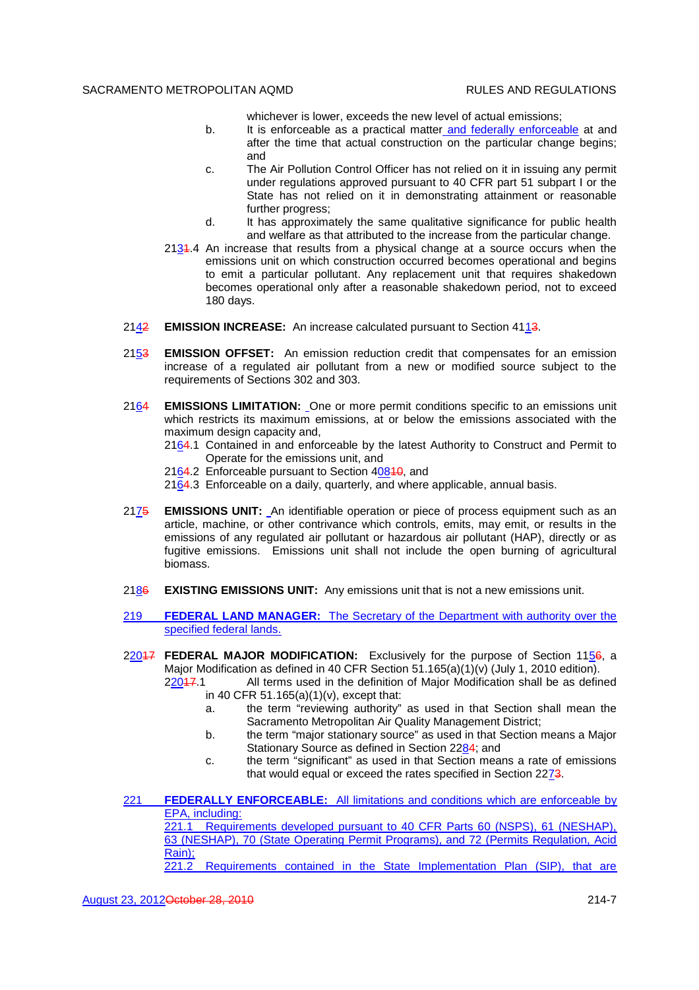whichever is lower, exceeds the new level of actual emissions;

- b. It is enforceable as a practical matter and federally enforceable at and after the time that actual construction on the particular change begins; and
- c. The Air Pollution Control Officer has not relied on it in issuing any permit under regulations approved pursuant to 40 CFR part 51 subpart I or the State has not relied on it in demonstrating attainment or reasonable further progress:
- d. It has approximately the same qualitative significance for public health and welfare as that attributed to the increase from the particular change.
- $2134.4$  An increase that results from a physical change at a source occurs when the emissions unit on which construction occurred becomes operational and begins to emit a particular pollutant. Any replacement unit that requires shakedown becomes operational only after a reasonable shakedown period, not to exceed 180 days.
- 2142 **EMISSION INCREASE:** An increase calculated pursuant to Section 4113.
- 2153 **EMISSION OFFSET:** An emission reduction credit that compensates for an emission increase of a regulated air pollutant from a new or modified source subject to the requirements of Sections 302 and 303.
- 2164 **EMISSIONS LIMITATION:** One or more permit conditions specific to an emissions unit which restricts its maximum emissions, at or below the emissions associated with the maximum design capacity and.
	- 2164.1 Contained in and enforceable by the latest Authority to Construct and Permit to Operate for the emissions unit, and
	- 2164.2 Enforceable pursuant to Section 40840, and
	- 2164.3 Enforceable on a daily, quarterly, and where applicable, annual basis.
- 2175 **EMISSIONS UNIT:** An identifiable operation or piece of process equipment such as an article, machine, or other contrivance which controls, emits, may emit, or results in the emissions of any regulated air pollutant or hazardous air pollutant (HAP), directly or as fugitive emissions. Emissions unit shall not include the open burning of agricultural biomass.
- 2186 **EXISTING EMISSIONS UNIT:** Any emissions unit that is not a new emissions unit.
- 219 **FEDERAL LAND MANAGER:** The Secretary of the Department with authority over the specified federal lands.
- 22047 **FEDERAL MAJOR MODIFICATION:** Exclusively for the purpose of Section 1156, a Major Modification as defined in 40 CFR Section 51.165(a)(1)(v) (July 1, 2010 edition).
	- $22047.1$  All terms used in the definition of Major Modification shall be as defined in 40 CFR 51.165(a)(1)(v), except that:
		- a. the term "reviewing authority" as used in that Section shall mean the Sacramento Metropolitan Air Quality Management District;
		- b. the term "major stationary source" as used in that Section means a Major Stationary Source as defined in Section 2284; and
		- c. the term "significant" as used in that Section means a rate of emissions that would equal or exceed the rates specified in Section 2273.
- 221 **FEDERALLY ENFORCEABLE:** All limitations and conditions which are enforceable by EPA, including: 221.1 Requirements developed pursuant to 40 CFR Parts 60 (NSPS), 61 (NESHAP), 63 (NESHAP), 70 (State Operating Permit Programs), and 72 (Permits Regulation, Acid Rain);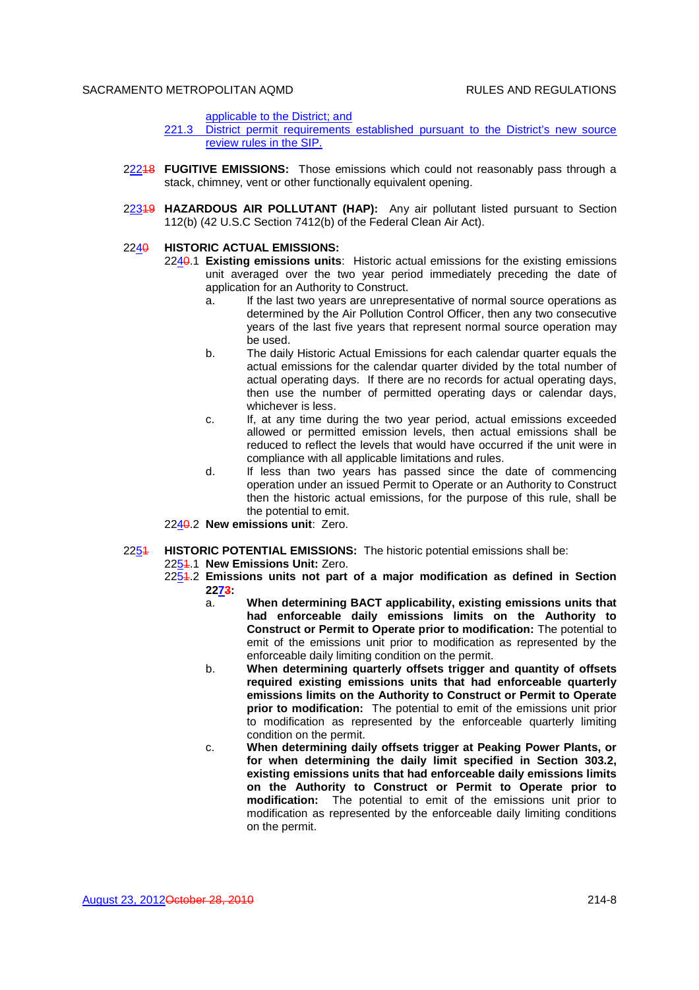applicable to the District; and

- 221.3 District permit requirements established pursuant to the District's new source review rules in the SIP.
- 22218 **FUGITIVE EMISSIONS:** Those emissions which could not reasonably pass through a stack, chimney, vent or other functionally equivalent opening.
- 22319 **HAZARDOUS AIR POLLUTANT (HAP):** Any air pollutant listed pursuant to Section 112(b) (42 U.S.C Section 7412(b) of the Federal Clean Air Act).

## 2240 **HISTORIC ACTUAL EMISSIONS:**

- 2240.1 **Existing emissions units**: Historic actual emissions for the existing emissions unit averaged over the two year period immediately preceding the date of application for an Authority to Construct.
	- a. If the last two years are unrepresentative of normal source operations as determined by the Air Pollution Control Officer, then any two consecutive years of the last five years that represent normal source operation may be used.
	- b. The daily Historic Actual Emissions for each calendar quarter equals the actual emissions for the calendar quarter divided by the total number of actual operating days. If there are no records for actual operating days, then use the number of permitted operating days or calendar days, whichever is less.
	- c. If, at any time during the two year period, actual emissions exceeded allowed or permitted emission levels, then actual emissions shall be reduced to reflect the levels that would have occurred if the unit were in compliance with all applicable limitations and rules.
	- d. If less than two years has passed since the date of commencing operation under an issued Permit to Operate or an Authority to Construct then the historic actual emissions, for the purpose of this rule, shall be the potential to emit.
- 2240.2 **New emissions unit**: Zero.

#### 2251 **HISTORIC POTENTIAL EMISSIONS:** The historic potential emissions shall be:

2254.1 New Emissions Unit: Zero.

- 2251.2 **Emissions units not part of a major modification as defined in Section 2273:**
	- a. **When determining BACT applicability, existing emissions units that had enforceable daily emissions limits on the Authority to Construct or Permit to Operate prior to modification:** The potential to emit of the emissions unit prior to modification as represented by the enforceable daily limiting condition on the permit.
	- b. **When determining quarterly offsets trigger and quantity of offsets required existing emissions units that had enforceable quarterly emissions limits on the Authority to Construct or Permit to Operate prior to modification:** The potential to emit of the emissions unit prior to modification as represented by the enforceable quarterly limiting condition on the permit.
	- c. **When determining daily offsets trigger at Peaking Power Plants, or for when determining the daily limit specified in Section 303.2, existing emissions units that had enforceable daily emissions limits on the Authority to Construct or Permit to Operate prior to modification:** The potential to emit of the emissions unit prior to modification as represented by the enforceable daily limiting conditions on the permit.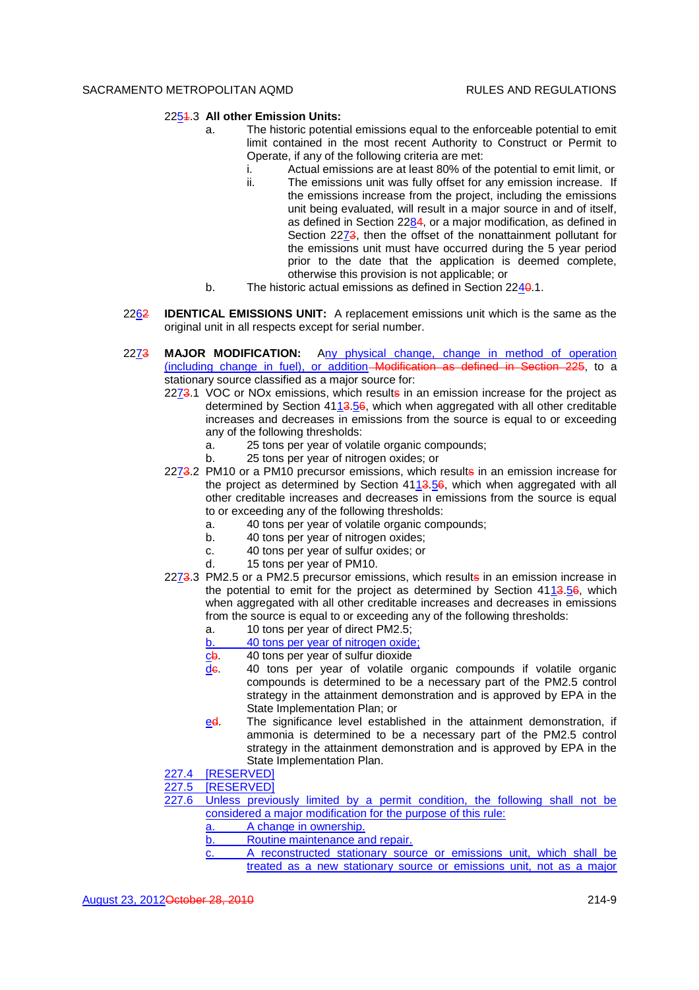## 2251.3 **All other Emission Units:**

- a. The historic potential emissions equal to the enforceable potential to emit limit contained in the most recent Authority to Construct or Permit to Operate, if any of the following criteria are met:
	- i. Actual emissions are at least 80% of the potential to emit limit, or
	- ii. The emissions unit was fully offset for any emission increase. If the emissions increase from the project, including the emissions unit being evaluated, will result in a major source in and of itself, as defined in Section 2284, or a major modification, as defined in Section 2273, then the offset of the nonattainment pollutant for the emissions unit must have occurred during the 5 year period prior to the date that the application is deemed complete, otherwise this provision is not applicable; or
- b. The historic actual emissions as defined in Section 2240.1.
- 2262 **IDENTICAL EMISSIONS UNIT:** A replacement emissions unit which is the same as the original unit in all respects except for serial number.
- 2273 **MAJOR MODIFICATION:** Any physical change, change in method of operation (including change in fuel), or addition Modification as defined in Section 225, to a stationary source classified as a major source for:
	- 2273.1 VOC or NOx emissions, which results in an emission increase for the project as determined by Section 4113.56, which when aggregated with all other creditable increases and decreases in emissions from the source is equal to or exceeding any of the following thresholds:
		- a. 25 tons per year of volatile organic compounds;
		- b. 25 tons per year of nitrogen oxides; or
	- 2273.2 PM10 or a PM10 precursor emissions, which results in an emission increase for the project as determined by Section 4113.56, which when aggregated with all other creditable increases and decreases in emissions from the source is equal to or exceeding any of the following thresholds:
		- a. 40 tons per year of volatile organic compounds;
		- b. 40 tons per year of nitrogen oxides;
		- c. 40 tons per year of sulfur oxides; or
		- d. 15 tons per year of PM10.
	- 2273.3 PM2.5 or a PM2.5 precursor emissions, which results in an emission increase in the potential to emit for the project as determined by Section 4113.56, which when aggregated with all other creditable increases and decreases in emissions from the source is equal to or exceeding any of the following thresholds:
		- a. 10 tons per year of direct PM2.5;
		- b. 40 tons per year of nitrogen oxide;
		- cb. 40 tons per year of sulfur dioxide
		- de. 40 tons per year of volatile organic compounds if volatile organic compounds is determined to be a necessary part of the PM2.5 control strategy in the attainment demonstration and is approved by EPA in the State Implementation Plan; or
		- ed. The significance level established in the attainment demonstration, if ammonia is determined to be a necessary part of the PM2.5 control strategy in the attainment demonstration and is approved by EPA in the State Implementation Plan.
	- 227.4 [RESERVED]
	- 227.5 [RESERVED]
	- 227.6 Unless previously limited by a permit condition, the following shall not be considered a major modification for the purpose of this rule:
		- a. A change in ownership.
		- b. Routine maintenance and repair.
		- c. A reconstructed stationary source or emissions unit, which shall be treated as a new stationary source or emissions unit, not as a major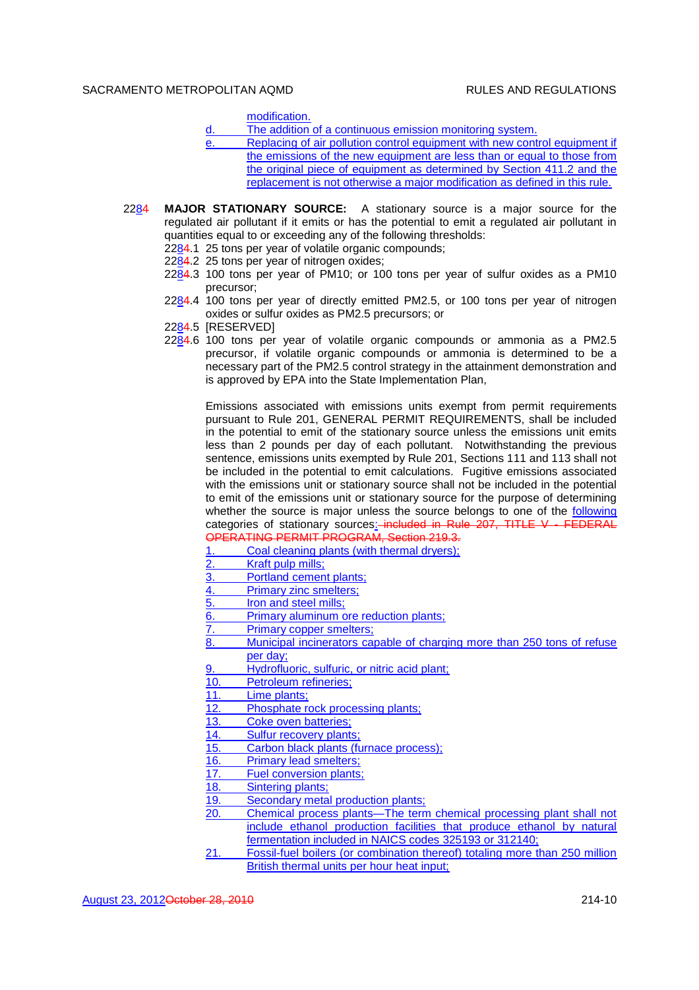modification.

- d. The addition of a continuous emission monitoring system.
- Replacing of air pollution control equipment with new control equipment if the emissions of the new equipment are less than or equal to those from the original piece of equipment as determined by Section 411.2 and the replacement is not otherwise a major modification as defined in this rule.
- 2284 **MAJOR STATIONARY SOURCE:** A stationary source is a major source for the regulated air pollutant if it emits or has the potential to emit a regulated air pollutant in quantities equal to or exceeding any of the following thresholds:
	- 2284.1 25 tons per year of volatile organic compounds;
	- 2284.2 25 tons per year of nitrogen oxides;
	- 2284.3 100 tons per year of PM10; or 100 tons per year of sulfur oxides as a PM10 precursor;
	- 2284.4 100 tons per year of directly emitted PM2.5, or 100 tons per year of nitrogen oxides or sulfur oxides as PM2.5 precursors; or
	- 2284.5 [RESERVED]
	- 2284.6 100 tons per year of volatile organic compounds or ammonia as a PM2.5 precursor, if volatile organic compounds or ammonia is determined to be a necessary part of the PM2.5 control strategy in the attainment demonstration and is approved by EPA into the State Implementation Plan,

Emissions associated with emissions units exempt from permit requirements pursuant to Rule 201, GENERAL PERMIT REQUIREMENTS, shall be included in the potential to emit of the stationary source unless the emissions unit emits less than 2 pounds per day of each pollutant. Notwithstanding the previous sentence, emissions units exempted by Rule 201, Sections 111 and 113 shall not be included in the potential to emit calculations. Fugitive emissions associated with the emissions unit or stationary source shall not be included in the potential to emit of the emissions unit or stationary source for the purpose of determining whether the source is major unless the source belongs to one of the following categories of stationary sources: included in Rule 207, TITLE V - FEDERAL OPERATING PERMIT PROGRAM, Section 219.3.

1. Coal cleaning plants (with thermal dryers);

- 2. Kraft pulp mills;
- 3. Portland cement plants;
- 4. Primary zinc smelters;
- 5. Iron and steel mills;
- 6. Primary aluminum ore reduction plants;
- 7. Primary copper smelters;
- 8. Municipal incinerators capable of charging more than 250 tons of refuse per day;
- 9. Hydrofluoric, sulfuric, or nitric acid plant;
- 10. Petroleum refineries;
- 11. Lime plants;
- 12. Phosphate rock processing plants;
- 13. Coke oven batteries;
- 14. Sulfur recovery plants;
- 15. Carbon black plants (furnace process);
- 16. Primary lead smelters;
- 17. Fuel conversion plants;
- 18. Sintering plants;
- 19. Secondary metal production plants;<br>20. Chemical process plants—The term
- 20. Chemical process plants—The term chemical processing plant shall not include ethanol production facilities that produce ethanol by natural fermentation included in NAICS codes 325193 or 312140;
- 21. Fossil-fuel boilers (or combination thereof) totaling more than 250 million British thermal units per hour heat input;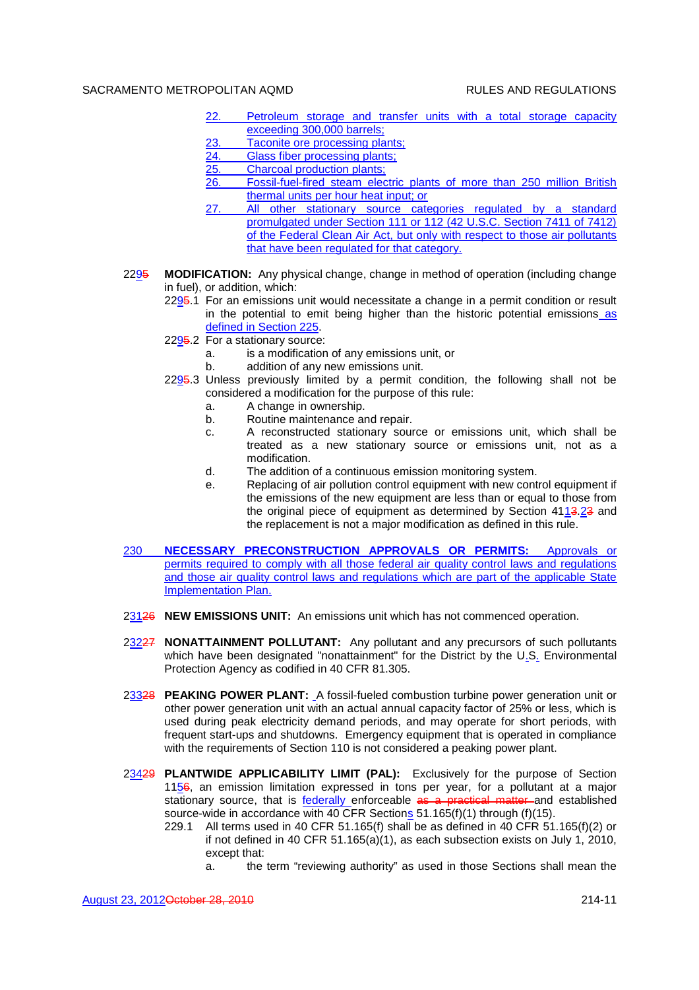- 22. Petroleum storage and transfer units with a total storage capacity exceeding 300,000 barrels;
- 23. Taconite ore processing plants;<br>24. Glass fiber processing plants:
- Glass fiber processing plants;
- 25. Charcoal production plants;<br>26. Fossil-fuel-fired steam elec
- 26. Fossil-fuel-fired steam electric plants of more than 250 million British thermal units per hour heat input; or
- 27. All other stationary source categories regulated by a standard promulgated under Section 111 or 112 (42 U.S.C. Section 7411 of 7412) of the Federal Clean Air Act, but only with respect to those air pollutants that have been regulated for that category.
- 2295 **MODIFICATION:** Any physical change, change in method of operation (including change in fuel), or addition, which:
	- 2295.1 For an emissions unit would necessitate a change in a permit condition or result in the potential to emit being higher than the historic potential emissions as defined in Section 225.
	- 2295.2 For a stationary source:
		- a. is a modification of any emissions unit, or
		- b. addition of any new emissions unit.
	- 2295.3 Unless previously limited by a permit condition, the following shall not be considered a modification for the purpose of this rule:
		- a. A change in ownership.
		- b. Routine maintenance and repair.
		- c. A reconstructed stationary source or emissions unit, which shall be treated as a new stationary source or emissions unit, not as a modification.
		- d. The addition of a continuous emission monitoring system.
		- e. Replacing of air pollution control equipment with new control equipment if the emissions of the new equipment are less than or equal to those from the original piece of equipment as determined by Section 4113.23 and the replacement is not a major modification as defined in this rule.
- 230 **NECESSARY PRECONSTRUCTION APPROVALS OR PERMITS:** Approvals or permits required to comply with all those federal air quality control laws and regulations and those air quality control laws and regulations which are part of the applicable State Implementation Plan.
- 23126 **NEW EMISSIONS UNIT:** An emissions unit which has not commenced operation.
- 23227 **NONATTAINMENT POLLUTANT:** Any pollutant and any precursors of such pollutants which have been designated "nonattainment" for the District by the U.S. Environmental Protection Agency as codified in 40 CFR 81.305.
- 23328 **PEAKING POWER PLANT:** A fossil-fueled combustion turbine power generation unit or other power generation unit with an actual annual capacity factor of 25% or less, which is used during peak electricity demand periods, and may operate for short periods, with frequent start-ups and shutdowns. Emergency equipment that is operated in compliance with the requirements of Section 110 is not considered a peaking power plant.
- 23429 **PLANTWIDE APPLICABILITY LIMIT (PAL):** Exclusively for the purpose of Section 1156, an emission limitation expressed in tons per year, for a pollutant at a major stationary source, that is **federally** enforceable as a practical matter and established source-wide in accordance with 40 CFR Sections 51.165(f)(1) through (f)(15).
	- 229.1 All terms used in 40 CFR 51.165(f) shall be as defined in 40 CFR 51.165(f)(2) or if not defined in 40 CFR 51.165(a)(1), as each subsection exists on July 1, 2010, except that:
		- a. the term "reviewing authority" as used in those Sections shall mean the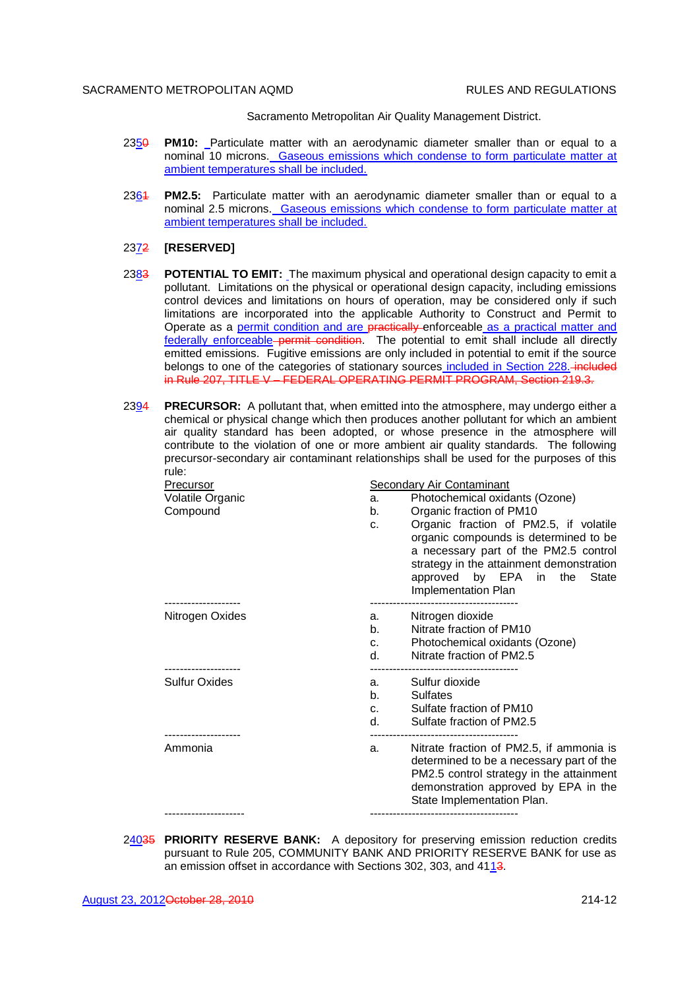Sacramento Metropolitan Air Quality Management District.

- 2350 **PM10:** Particulate matter with an aerodynamic diameter smaller than or equal to a nominal 10 microns. Gaseous emissions which condense to form particulate matter at ambient temperatures shall be included.
- 2361 **PM2.5:** Particulate matter with an aerodynamic diameter smaller than or equal to a nominal 2.5 microns. Gaseous emissions which condense to form particulate matter at ambient temperatures shall be included.

#### 2372 **[RESERVED]**

- 2383 **POTENTIAL TO EMIT:** The maximum physical and operational design capacity to emit a pollutant. Limitations on the physical or operational design capacity, including emissions control devices and limitations on hours of operation, may be considered only if such limitations are incorporated into the applicable Authority to Construct and Permit to Operate as a permit condition and are practically enforceable as a practical matter and federally enforceable permit condition. The potential to emit shall include all directly emitted emissions. Fugitive emissions are only included in potential to emit if the source belongs to one of the categories of stationary sources included in Section 228. *included* in Rule 207, TITLE V – FEDERAL OPERATING PERMIT PROGRAM, Section 219.3.
- 2394 **PRECURSOR:** A pollutant that, when emitted into the atmosphere, may undergo either a chemical or physical change which then produces another pollutant for which an ambient air quality standard has been adopted, or whose presence in the atmosphere will contribute to the violation of one or more ambient air quality standards. The following precursor-secondary air contaminant relationships shall be used for the purposes of this rule:

| Precursor<br>Volatile Organic<br>Compound | <b>Secondary Air Contaminant</b><br>Photochemical oxidants (Ozone)<br>a.<br>Organic fraction of PM10<br>b.<br>Organic fraction of PM2.5, if volatile<br>c.<br>organic compounds is determined to be<br>a necessary part of the PM2.5 control<br>strategy in the attainment demonstration<br>approved by EPA in the State<br>Implementation Plan |  |
|-------------------------------------------|-------------------------------------------------------------------------------------------------------------------------------------------------------------------------------------------------------------------------------------------------------------------------------------------------------------------------------------------------|--|
| Nitrogen Oxides                           | Nitrogen dioxide<br>а.<br>Nitrate fraction of PM10<br>b.<br>Photochemical oxidants (Ozone)<br>C.<br>Nitrate fraction of PM2.5<br>d.                                                                                                                                                                                                             |  |
| <b>Sulfur Oxides</b>                      | Sulfur dioxide<br>a.<br>b.<br>Sulfates<br>Sulfate fraction of PM10<br>C <sub>1</sub><br>d.<br>Sulfate fraction of PM2.5                                                                                                                                                                                                                         |  |
| Ammonia                                   | Nitrate fraction of PM2.5, if ammonia is<br>a.<br>determined to be a necessary part of the<br>PM2.5 control strategy in the attainment<br>demonstration approved by EPA in the<br>State Implementation Plan.                                                                                                                                    |  |
|                                           |                                                                                                                                                                                                                                                                                                                                                 |  |

24035 **PRIORITY RESERVE BANK:** A depository for preserving emission reduction credits pursuant to Rule 205, COMMUNITY BANK AND PRIORITY RESERVE BANK for use as an emission offset in accordance with Sections 302, 303, and 4113.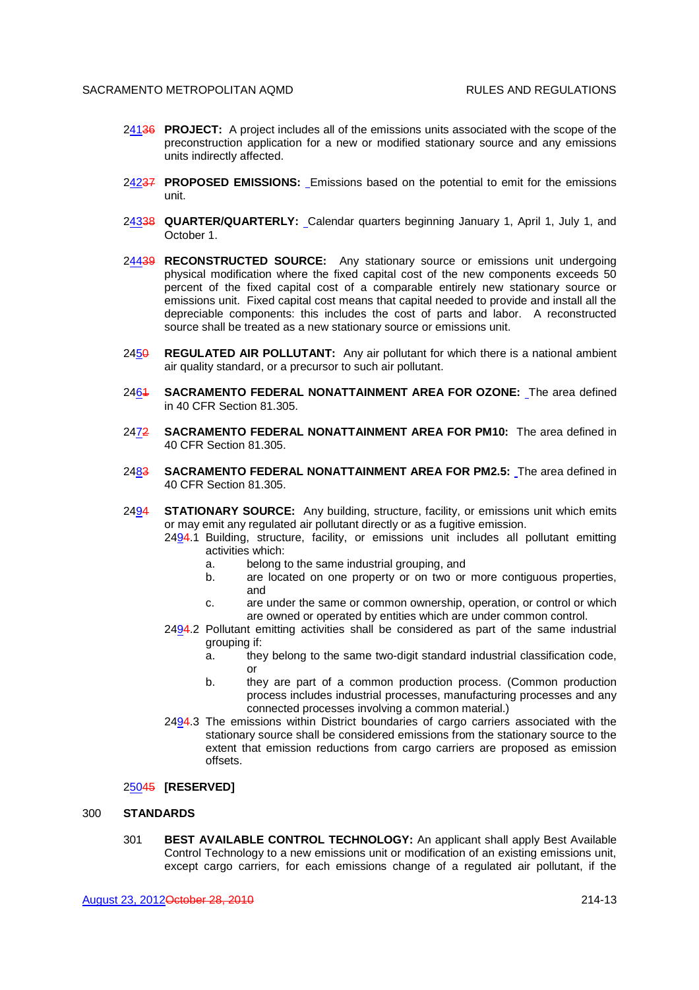- 24136 **PROJECT:** A project includes all of the emissions units associated with the scope of the preconstruction application for a new or modified stationary source and any emissions units indirectly affected.
- 24237 **PROPOSED EMISSIONS:** Emissions based on the potential to emit for the emissions unit.
- 24338 **QUARTER/QUARTERLY:** Calendar quarters beginning January 1, April 1, July 1, and October 1.
- 24439 **RECONSTRUCTED SOURCE:** Any stationary source or emissions unit undergoing physical modification where the fixed capital cost of the new components exceeds 50 percent of the fixed capital cost of a comparable entirely new stationary source or emissions unit. Fixed capital cost means that capital needed to provide and install all the depreciable components: this includes the cost of parts and labor. A reconstructed source shall be treated as a new stationary source or emissions unit.
- 2450 **REGULATED AIR POLLUTANT:** Any air pollutant for which there is a national ambient air quality standard, or a precursor to such air pollutant.
- 2461 **SACRAMENTO FEDERAL NONATTAINMENT AREA FOR OZONE:** The area defined in 40 CFR Section 81.305.
- 2472 **SACRAMENTO FEDERAL NONATTAINMENT AREA FOR PM10:** The area defined in 40 CFR Section 81.305.
- 2483 **SACRAMENTO FEDERAL NONATTAINMENT AREA FOR PM2.5:** The area defined in 40 CFR Section 81.305.
- 2494 **STATIONARY SOURCE:** Any building, structure, facility, or emissions unit which emits or may emit any regulated air pollutant directly or as a fugitive emission.
	- 2494.1 Building, structure, facility, or emissions unit includes all pollutant emitting activities which:
		- a. belong to the same industrial grouping, and
		- b. are located on one property or on two or more contiguous properties, and
		- c. are under the same or common ownership, operation, or control or which are owned or operated by entities which are under common control.
	- 2494.2 Pollutant emitting activities shall be considered as part of the same industrial grouping if:
		- a. they belong to the same two-digit standard industrial classification code, or
		- b. they are part of a common production process. (Common production process includes industrial processes, manufacturing processes and any connected processes involving a common material.)
	- 2494.3 The emissions within District boundaries of cargo carriers associated with the stationary source shall be considered emissions from the stationary source to the extent that emission reductions from cargo carriers are proposed as emission offsets.

#### 25045 **[RESERVED]**

## 300 **STANDARDS**

301 **BEST AVAILABLE CONTROL TECHNOLOGY:** An applicant shall apply Best Available Control Technology to a new emissions unit or modification of an existing emissions unit, except cargo carriers, for each emissions change of a regulated air pollutant, if the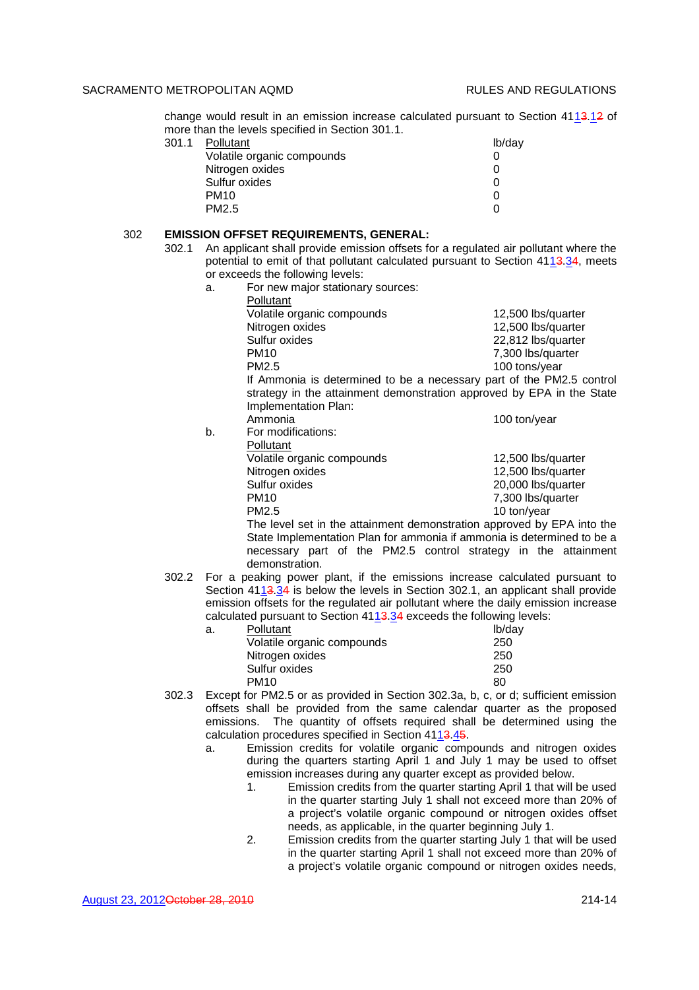change would result in an emission increase calculated pursuant to Section 4113.12 of more than the levels specified in Section 301.1.

| 301.1 | Pollutant                  | lb/day |
|-------|----------------------------|--------|
|       | Volatile organic compounds |        |
|       | Nitrogen oxides            |        |
|       | Sulfur oxides              |        |
|       | <b>PM10</b>                |        |
|       | PM2.5                      |        |
|       |                            |        |

#### 302 **EMISSION OFFSET REQUIREMENTS, GENERAL:**

- 302.1 An applicant shall provide emission offsets for a regulated air pollutant where the potential to emit of that pollutant calculated pursuant to Section 4113.34, meets or exceeds the following levels:
	- a. For new major stationary sources:

|    | Pollutant                                                             |                    |
|----|-----------------------------------------------------------------------|--------------------|
|    | Volatile organic compounds                                            | 12,500 lbs/quarter |
|    | Nitrogen oxides                                                       | 12,500 lbs/quarter |
|    | Sulfur oxides                                                         | 22,812 lbs/quarter |
|    | PM <sub>10</sub>                                                      | 7,300 lbs/quarter  |
|    | PM2.5                                                                 | 100 tons/year      |
|    | If Ammonia is determined to be a necessary part of the PM2.5 control  |                    |
|    | strategy in the attainment demonstration approved by EPA in the State |                    |
|    | Implementation Plan:                                                  |                    |
|    | Ammonia                                                               | 100 ton/year       |
| b. | For modifications:                                                    |                    |
|    | Pollutant                                                             |                    |
|    | Volatile organic compounds                                            | 12,500 lbs/quarter |
|    | Nitrogen oxides                                                       | 12,500 lbs/quarter |
|    | Sulfur oxides                                                         | 20,000 lbs/quarter |

PM10 7,300 lbs/quarter PM2.5 10 ton/year The level set in the attainment demonstration approved by EPA into the State Implementation Plan for ammonia if ammonia is determined to be a necessary part of the PM2.5 control strategy in the attainment demonstration.

302.2 For a peaking power plant, if the emissions increase calculated pursuant to Section 4113.34 is below the levels in Section 302.1, an applicant shall provide emission offsets for the regulated air pollutant where the daily emission increase calculated pursuant to Section 4113.34 exceeds the following levels:

| а. | Pollutant                  | lb/day |
|----|----------------------------|--------|
|    | Volatile organic compounds | 250    |
|    | Nitrogen oxides            | 250    |
|    | Sulfur oxides              | 250    |
|    | <b>PM10</b>                | 80     |

- 302.3 Except for PM2.5 or as provided in Section 302.3a, b, c, or d; sufficient emission offsets shall be provided from the same calendar quarter as the proposed emissions. The quantity of offsets required shall be determined using the calculation procedures specified in Section 4113.45.
	- a. Emission credits for volatile organic compounds and nitrogen oxides during the quarters starting April 1 and July 1 may be used to offset emission increases during any quarter except as provided below.
		- 1. Emission credits from the quarter starting April 1 that will be used in the quarter starting July 1 shall not exceed more than 20% of a project's volatile organic compound or nitrogen oxides offset needs, as applicable, in the quarter beginning July 1.
		- 2. Emission credits from the quarter starting July 1 that will be used in the quarter starting April 1 shall not exceed more than 20% of a project's volatile organic compound or nitrogen oxides needs,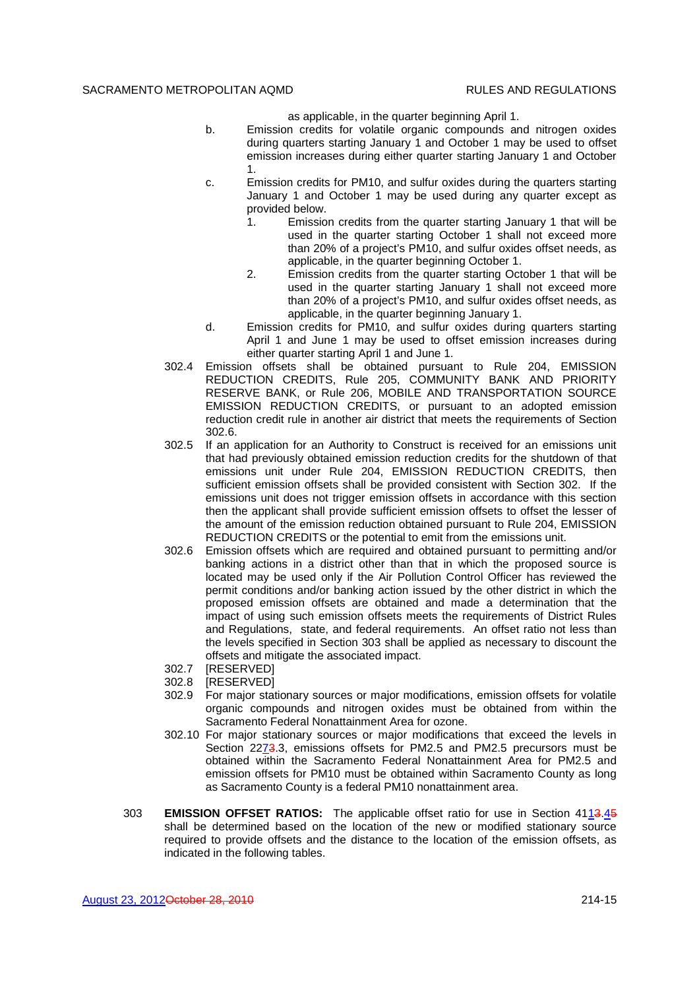as applicable, in the quarter beginning April 1.

- b. Emission credits for volatile organic compounds and nitrogen oxides during quarters starting January 1 and October 1 may be used to offset emission increases during either quarter starting January 1 and October 1.
- c. Emission credits for PM10, and sulfur oxides during the quarters starting January 1 and October 1 may be used during any quarter except as provided below.
	- 1. Emission credits from the quarter starting January 1 that will be used in the quarter starting October 1 shall not exceed more than 20% of a project's PM10, and sulfur oxides offset needs, as applicable, in the quarter beginning October 1.
	- 2. Emission credits from the quarter starting October 1 that will be used in the quarter starting January 1 shall not exceed more than 20% of a project's PM10, and sulfur oxides offset needs, as applicable, in the quarter beginning January 1.
- d. Emission credits for PM10, and sulfur oxides during quarters starting April 1 and June 1 may be used to offset emission increases during either quarter starting April 1 and June 1.
- 302.4 Emission offsets shall be obtained pursuant to Rule 204, EMISSION REDUCTION CREDITS, Rule 205, COMMUNITY BANK AND PRIORITY RESERVE BANK, or Rule 206, MOBILE AND TRANSPORTATION SOURCE EMISSION REDUCTION CREDITS, or pursuant to an adopted emission reduction credit rule in another air district that meets the requirements of Section 302.6.
- 302.5 If an application for an Authority to Construct is received for an emissions unit that had previously obtained emission reduction credits for the shutdown of that emissions unit under Rule 204, EMISSION REDUCTION CREDITS, then sufficient emission offsets shall be provided consistent with Section 302. If the emissions unit does not trigger emission offsets in accordance with this section then the applicant shall provide sufficient emission offsets to offset the lesser of the amount of the emission reduction obtained pursuant to Rule 204, EMISSION REDUCTION CREDITS or the potential to emit from the emissions unit.
- 302.6 Emission offsets which are required and obtained pursuant to permitting and/or banking actions in a district other than that in which the proposed source is located may be used only if the Air Pollution Control Officer has reviewed the permit conditions and/or banking action issued by the other district in which the proposed emission offsets are obtained and made a determination that the impact of using such emission offsets meets the requirements of District Rules and Regulations, state, and federal requirements. An offset ratio not less than the levels specified in Section 303 shall be applied as necessary to discount the offsets and mitigate the associated impact.
- 302.7 [RESERVED]
- 302.8 [RESERVED]
- 302.9 For major stationary sources or major modifications, emission offsets for volatile organic compounds and nitrogen oxides must be obtained from within the Sacramento Federal Nonattainment Area for ozone.
- 302.10 For major stationary sources or major modifications that exceed the levels in Section 2273.3, emissions offsets for PM2.5 and PM2.5 precursors must be obtained within the Sacramento Federal Nonattainment Area for PM2.5 and emission offsets for PM10 must be obtained within Sacramento County as long as Sacramento County is a federal PM10 nonattainment area.
- 303 **EMISSION OFFSET RATIOS:** The applicable offset ratio for use in Section 4113.45 shall be determined based on the location of the new or modified stationary source required to provide offsets and the distance to the location of the emission offsets, as indicated in the following tables.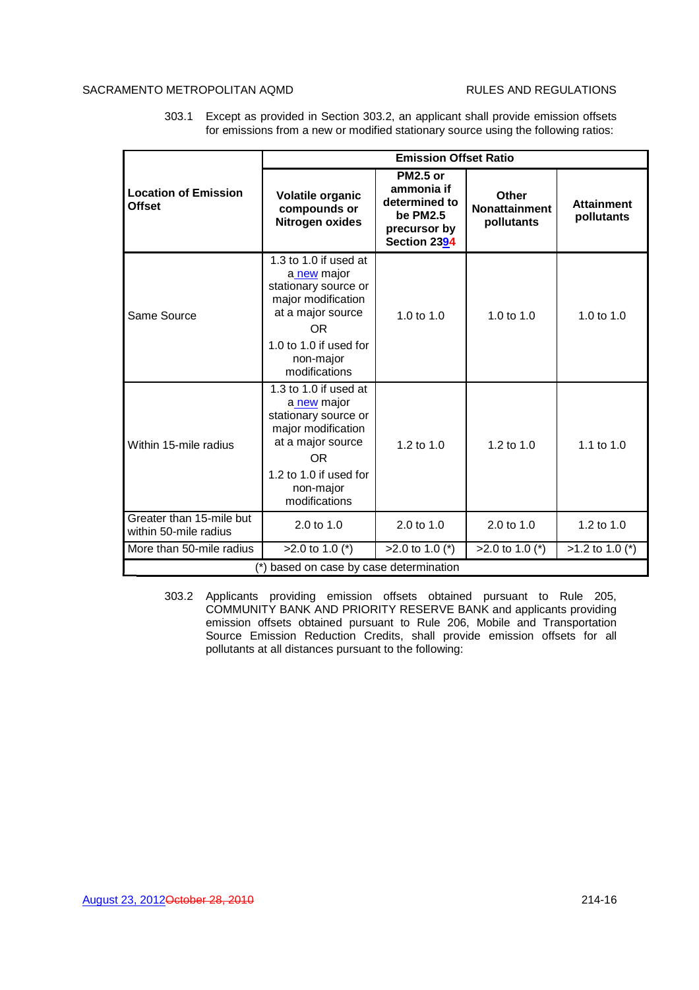# SACRAMENTO METROPOLITAN AQMD REGULATIONS

303.1 Except as provided in Section 303.2, an applicant shall provide emission offsets for emissions from a new or modified stationary source using the following ratios:

|                                                                                                                                                                                                 |                                                                                                                                                                        |                                                                                            | <b>Emission Offset Ratio</b>                       |                                 |  |
|-------------------------------------------------------------------------------------------------------------------------------------------------------------------------------------------------|------------------------------------------------------------------------------------------------------------------------------------------------------------------------|--------------------------------------------------------------------------------------------|----------------------------------------------------|---------------------------------|--|
| <b>Location of Emission</b><br><b>Offset</b>                                                                                                                                                    | <b>Volatile organic</b><br>compounds or<br>Nitrogen oxides                                                                                                             | <b>PM2.5 or</b><br>ammonia if<br>determined to<br>be PM2.5<br>precursor by<br>Section 2394 | <b>Other</b><br><b>Nonattainment</b><br>pollutants | <b>Attainment</b><br>pollutants |  |
| Same Source                                                                                                                                                                                     | 1.3 to 1.0 if used at<br>a new major<br>stationary source or<br>major modification<br>at a major source<br>OR.<br>1.0 to 1.0 if used for<br>non-major<br>modifications | 1.0 to $1.0$                                                                               | 1.0 to $1.0$                                       | 1.0 to 1.0                      |  |
| 1.3 to 1.0 if used at<br>a new major<br>stationary source or<br>major modification<br>at a major source<br>Within 15-mile radius<br>OR.<br>1.2 to 1.0 if used for<br>non-major<br>modifications |                                                                                                                                                                        | 1.2 to $1.0$                                                                               | 1.2 to 1.0                                         | 1.1 to 1.0                      |  |
| Greater than 15-mile but<br>within 50-mile radius                                                                                                                                               | $2.0 \text{ to } 1.0$                                                                                                                                                  | $2.0 \text{ to } 1.0$                                                                      | $2.0 \text{ to } 1.0$                              | 1.2 to 1.0                      |  |
| More than 50-mile radius                                                                                                                                                                        | $>2.0$ to 1.0 (*)                                                                                                                                                      | $>2.0$ to 1.0 (*)                                                                          | $>2.0$ to 1.0 (*)                                  | $>1.2$ to 1.0 (*)               |  |
| based on case by case determination                                                                                                                                                             |                                                                                                                                                                        |                                                                                            |                                                    |                                 |  |

303.2 Applicants providing emission offsets obtained pursuant to Rule 205, COMMUNITY BANK AND PRIORITY RESERVE BANK and applicants providing emission offsets obtained pursuant to Rule 206, Mobile and Transportation Source Emission Reduction Credits, shall provide emission offsets for all pollutants at all distances pursuant to the following: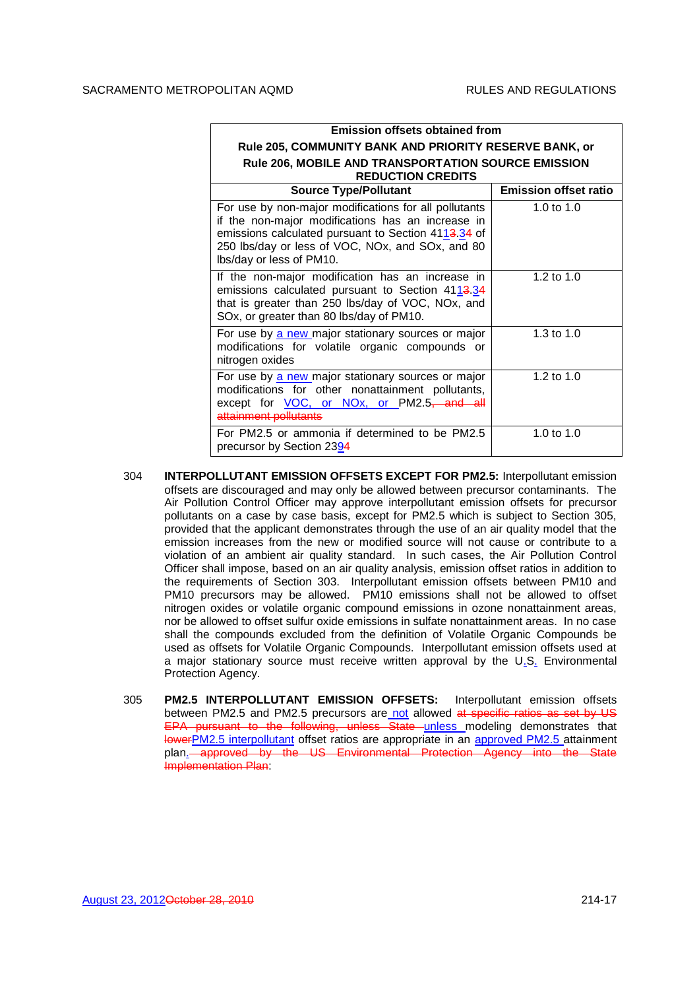| <b>Emission offsets obtained from</b>                                                                                                                                                                                                             |                              |
|---------------------------------------------------------------------------------------------------------------------------------------------------------------------------------------------------------------------------------------------------|------------------------------|
| Rule 205, COMMUNITY BANK AND PRIORITY RESERVE BANK, or                                                                                                                                                                                            |                              |
| Rule 206, MOBILE AND TRANSPORTATION SOURCE EMISSION<br><b>REDUCTION CREDITS</b>                                                                                                                                                                   |                              |
| <b>Source Type/Pollutant</b>                                                                                                                                                                                                                      | <b>Emission offset ratio</b> |
| For use by non-major modifications for all pollutants<br>if the non-major modifications has an increase in<br>emissions calculated pursuant to Section 4113.34 of<br>250 lbs/day or less of VOC, NOx, and SOx, and 80<br>Ibs/day or less of PM10. | 1.0 to $1.0$                 |
| If the non-major modification has an increase in<br>emissions calculated pursuant to Section 4113.34<br>that is greater than 250 lbs/day of VOC, NOx, and<br>SOx, or greater than 80 lbs/day of PM10.                                             | 1.2 to $1.0$                 |
| For use by a new major stationary sources or major<br>modifications for volatile organic compounds or<br>nitrogen oxides                                                                                                                          | 1.3 to $1.0$                 |
| For use by a new major stationary sources or major<br>modifications for other nonattainment pollutants,<br>except for VOC, or NOx, or PM2.5, and all<br>attainment pollutants                                                                     | 1.2 to 1.0                   |
| For PM2.5 or ammonia if determined to be PM2.5<br>precursor by Section 2394                                                                                                                                                                       | 1.0 to $1.0$                 |

- 304 **INTERPOLLUTANT EMISSION OFFSETS EXCEPT FOR PM2.5:** Interpollutant emission offsets are discouraged and may only be allowed between precursor contaminants. The Air Pollution Control Officer may approve interpollutant emission offsets for precursor pollutants on a case by case basis, except for PM2.5 which is subject to Section 305, provided that the applicant demonstrates through the use of an air quality model that the emission increases from the new or modified source will not cause or contribute to a violation of an ambient air quality standard. In such cases, the Air Pollution Control Officer shall impose, based on an air quality analysis, emission offset ratios in addition to the requirements of Section 303. Interpollutant emission offsets between PM10 and PM10 precursors may be allowed. PM10 emissions shall not be allowed to offset nitrogen oxides or volatile organic compound emissions in ozone nonattainment areas, nor be allowed to offset sulfur oxide emissions in sulfate nonattainment areas. In no case shall the compounds excluded from the definition of Volatile Organic Compounds be used as offsets for Volatile Organic Compounds. Interpollutant emission offsets used at a major stationary source must receive written approval by the U.S. Environmental Protection Agency.
- 305 **PM2.5 INTERPOLLUTANT EMISSION OFFSETS:** Interpollutant emission offsets between PM2.5 and PM2.5 precursors are not allowed at specific ratios as set by US EPA pursuant to the following, unless State unless modeling demonstrates that lowerPM2.5 interpollutant offset ratios are appropriate in an approved PM2.5 attainment plan. approved by the US Environmental Protection Agency Implementation Plan: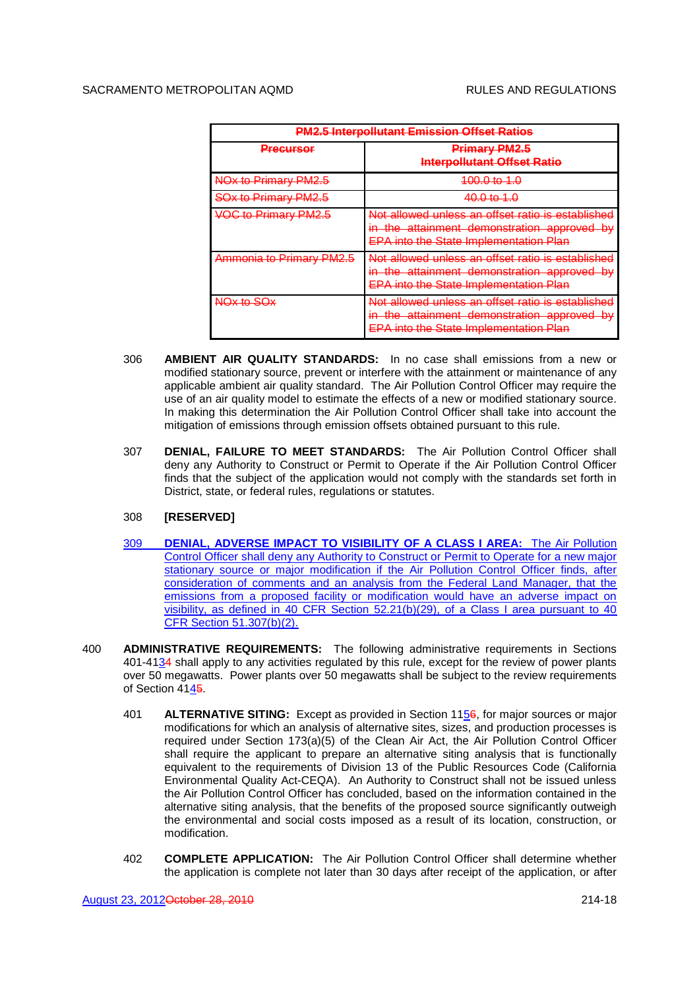| <b>PM2.5 Interpollutant Emission Offset Ratios</b> |                                                                                                                                                                |  |
|----------------------------------------------------|----------------------------------------------------------------------------------------------------------------------------------------------------------------|--|
| <u>Precursor</u>                                   | <b>Primary PM2.5</b><br><b>Interpollutant Offset Ratio</b>                                                                                                     |  |
| NOx to Primary PM2.5                               | <del>100.0 to 1.0</del>                                                                                                                                        |  |
| <b>SOx to Primary PM2.5</b>                        | <del>40.0 to 1.0</del>                                                                                                                                         |  |
| <b>VOC to Primary PM2.5</b>                        | <u>Not allowed unless an offset ratio is established</u><br>in the attainment demonstration approved by<br>hw<br><b>EPA into the State Implementation Plan</b> |  |
| Ammonia to Primary PM2.5                           | Not allowed unless an offset ratio is established<br>in the attainment demonstration approved by<br><b>EPA into the State Implementation Plan</b>              |  |
| NOx to SOx                                         | Not allowed unless an offset ratio is established<br>in the attainment demonstration approved by<br><u>nu</u><br><b>EPA into the State Implementation Plan</b> |  |

- 306 **AMBIENT AIR QUALITY STANDARDS:** In no case shall emissions from a new or modified stationary source, prevent or interfere with the attainment or maintenance of any applicable ambient air quality standard. The Air Pollution Control Officer may require the use of an air quality model to estimate the effects of a new or modified stationary source. In making this determination the Air Pollution Control Officer shall take into account the mitigation of emissions through emission offsets obtained pursuant to this rule.
- 307 **DENIAL, FAILURE TO MEET STANDARDS:** The Air Pollution Control Officer shall deny any Authority to Construct or Permit to Operate if the Air Pollution Control Officer finds that the subject of the application would not comply with the standards set forth in District, state, or federal rules, regulations or statutes.

## 308 **[RESERVED]**

- 309 **DENIAL, ADVERSE IMPACT TO VISIBILITY OF A CLASS I AREA:** The Air Pollution Control Officer shall deny any Authority to Construct or Permit to Operate for a new major stationary source or major modification if the Air Pollution Control Officer finds, after consideration of comments and an analysis from the Federal Land Manager, that the emissions from a proposed facility or modification would have an adverse impact on visibility, as defined in 40 CFR Section 52.21(b)(29), of a Class I area pursuant to 40 CFR Section 51.307(b)(2).
- 400 **ADMINISTRATIVE REQUIREMENTS:** The following administrative requirements in Sections 401-4134 shall apply to any activities regulated by this rule, except for the review of power plants over 50 megawatts. Power plants over 50 megawatts shall be subject to the review requirements of Section 4145.
	- 401 **ALTERNATIVE SITING:** Except as provided in Section 1156, for major sources or major modifications for which an analysis of alternative sites, sizes, and production processes is required under Section 173(a)(5) of the Clean Air Act, the Air Pollution Control Officer shall require the applicant to prepare an alternative siting analysis that is functionally equivalent to the requirements of Division 13 of the Public Resources Code (California Environmental Quality Act-CEQA). An Authority to Construct shall not be issued unless the Air Pollution Control Officer has concluded, based on the information contained in the alternative siting analysis, that the benefits of the proposed source significantly outweigh the environmental and social costs imposed as a result of its location, construction, or modification.
	- 402 **COMPLETE APPLICATION:** The Air Pollution Control Officer shall determine whether the application is complete not later than 30 days after receipt of the application, or after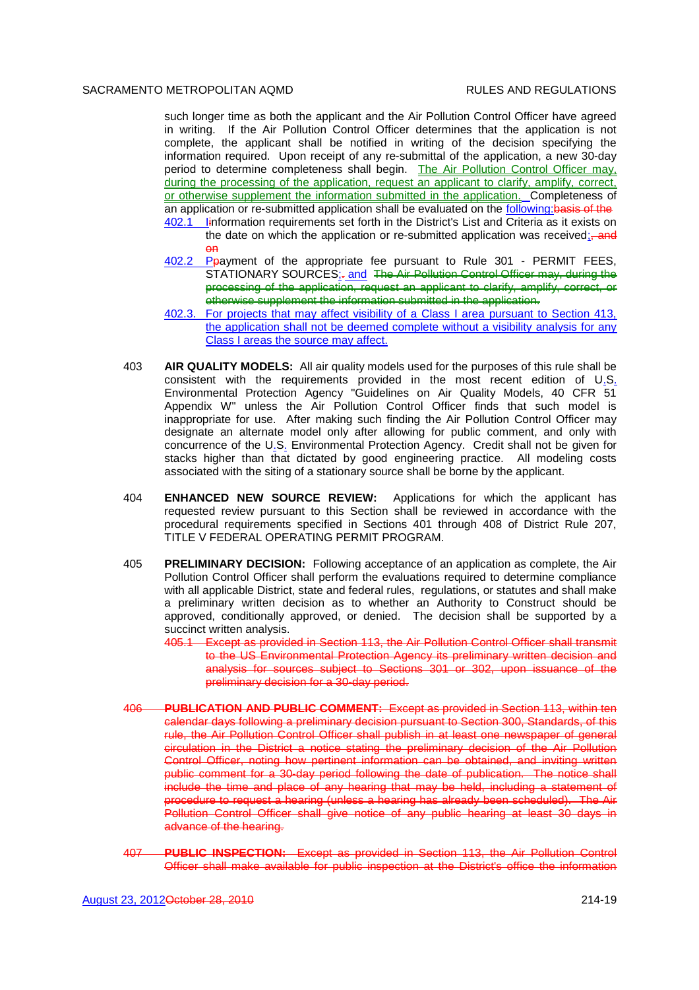such longer time as both the applicant and the Air Pollution Control Officer have agreed in writing. If the Air Pollution Control Officer determines that the application is not complete, the applicant shall be notified in writing of the decision specifying the information required. Upon receipt of any re-submittal of the application, a new 30-day period to determine completeness shall begin. The Air Pollution Control Officer may, during the processing of the application, request an applicant to clarify, amplify, correct, or otherwise supplement the information submitted in the application. Completeness of an application or re-submitted application shall be evaluated on the following:basis of the 402.1 Iinformation requirements set forth in the District's List and Criteria as it exists on

- the date on which the application or re-submitted application was received; and on
- 402.2 Ppayment of the appropriate fee pursuant to Rule 301 PERMIT FEES, STATIONARY SOURCES<sub>ir</sub> and The Air Pollution Control Officer may, during the processing of the application, request an applicant to clarify, amplify, correct, or otherwise supplement the information submitted in the application.
- 402.3. For projects that may affect visibility of a Class I area pursuant to Section 413, the application shall not be deemed complete without a visibility analysis for any Class I areas the source may affect.
- 403 **AIR QUALITY MODELS:** All air quality models used for the purposes of this rule shall be consistent with the requirements provided in the most recent edition of U.S. Environmental Protection Agency "Guidelines on Air Quality Models, 40 CFR 51 Appendix W" unless the Air Pollution Control Officer finds that such model is inappropriate for use. After making such finding the Air Pollution Control Officer may designate an alternate model only after allowing for public comment, and only with concurrence of the U.S. Environmental Protection Agency. Credit shall not be given for stacks higher than that dictated by good engineering practice. All modeling costs associated with the siting of a stationary source shall be borne by the applicant.
- 404 **ENHANCED NEW SOURCE REVIEW:** Applications for which the applicant has requested review pursuant to this Section shall be reviewed in accordance with the procedural requirements specified in Sections 401 through 408 of District Rule 207, TITLE V FEDERAL OPERATING PERMIT PROGRAM.
- 405 **PRELIMINARY DECISION:** Following acceptance of an application as complete, the Air Pollution Control Officer shall perform the evaluations required to determine compliance with all applicable District, state and federal rules, regulations, or statutes and shall make a preliminary written decision as to whether an Authority to Construct should be approved, conditionally approved, or denied. The decision shall be supported by a succinct written analysis.
	- 405.1 Except as provided in Section 113, the Air Pollution Control Officer shall transmit to the US Environmental Protection Agency its preliminary written decision and analysis for sources subject to Sections 301 or 302, upon issuance of the preliminary decision for a 30-day period.
- 406 **PUBLICATION AND PUBLIC COMMENT:** Except as provided in Section 113, within ten calendar days following a preliminary decision pursuant to Section 300, Standards, of this rule, the Air Pollution Control Officer shall publish in at least one newspaper of general circulation in the District a notice stating the preliminary decision of the Air Pollution Control Officer, noting how pertinent information can be obtained, and inviting written public comment for a 30-day period following the date of publication. The notice shall include the time and place of any hearing that may be held, including a statement of procedure to request a hearing (unless a hearing has already been scheduled). The Air Pollution Control Officer shall give notice of any public hearing at least 30 days in advance of the hearing.
- 407 **PUBLIC INSPECTION:** Except as provided in Section 113, the Air Pollution Control Officer shall make available for public inspection at the District's office the information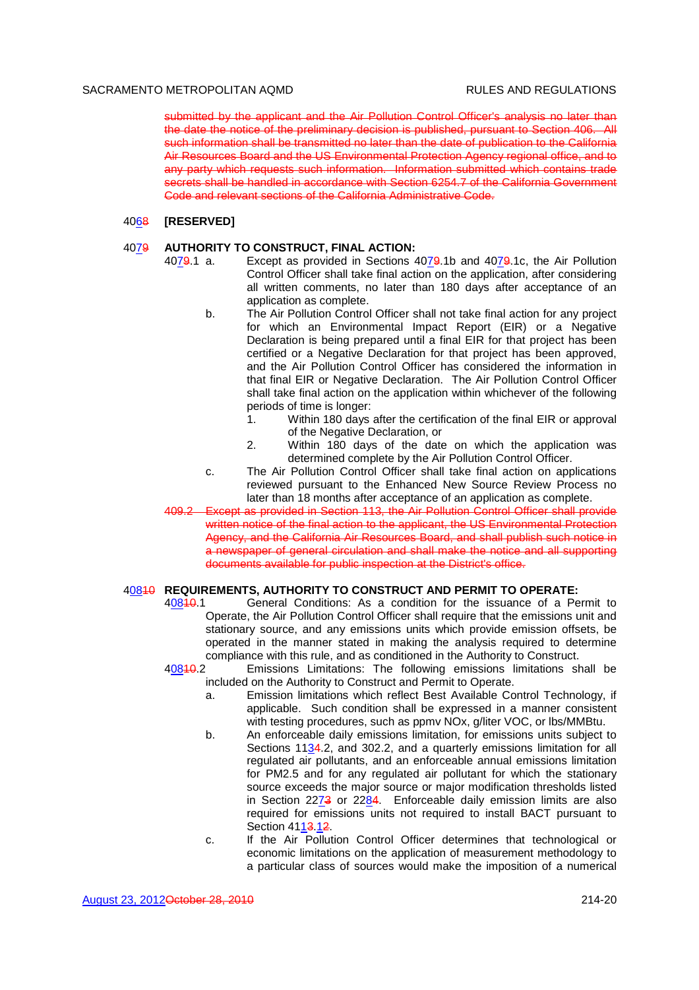submitted by the applicant and the Air Pollution Control Officer's analysis no later than the date the notice of the preliminary decision is published, pursuant to Section 406. All such information shall be transmitted no later than the date of publication to the California Air Resources Board and the US Environmental Protection Agency regional office, and to any party which requests such information. Information submitted which contains trade secrets shall be handled in accordance with Section 6254.7 of the California Government Code and relevant sections of the California Administrative Code.

#### 4068 **[RESERVED]**

### 4079 **AUTHORITY TO CONSTRUCT, FINAL ACTION:**

- 4079.1 a. Except as provided in Sections 4079.1b and 4079.1c, the Air Pollution Control Officer shall take final action on the application, after considering all written comments, no later than 180 days after acceptance of an application as complete.
	- b. The Air Pollution Control Officer shall not take final action for any project for which an Environmental Impact Report (EIR) or a Negative Declaration is being prepared until a final EIR for that project has been certified or a Negative Declaration for that project has been approved, and the Air Pollution Control Officer has considered the information in that final EIR or Negative Declaration. The Air Pollution Control Officer shall take final action on the application within whichever of the following periods of time is longer:
		- 1. Within 180 days after the certification of the final EIR or approval of the Negative Declaration, or
		- 2. Within 180 days of the date on which the application was determined complete by the Air Pollution Control Officer.
	- c. The Air Pollution Control Officer shall take final action on applications reviewed pursuant to the Enhanced New Source Review Process no later than 18 months after acceptance of an application as complete.
- 409.2 Except as provided in Section 113, the Air Pollution Control Officer shall provide written notice of the final action to the applicant, the US Environmental Protection Agency, and the California Air Resources Board, and shall publish such notice in a newspaper of general circulation and shall make the notice and all supporting documents available for public inspection at the District's office.

### 40810 **REQUIREMENTS, AUTHORITY TO CONSTRUCT AND PERMIT TO OPERATE:**

40810.1 General Conditions: As a condition for the issuance of a Permit to Operate, the Air Pollution Control Officer shall require that the emissions unit and stationary source, and any emissions units which provide emission offsets, be operated in the manner stated in making the analysis required to determine compliance with this rule, and as conditioned in the Authority to Construct.

40810.2 Emissions Limitations: The following emissions limitations shall be

- included on the Authority to Construct and Permit to Operate. a. Emission limitations which reflect Best Available Control Technology, if applicable. Such condition shall be expressed in a manner consistent with testing procedures, such as ppmv NOx, g/liter VOC, or lbs/MMBtu.
- b. An enforceable daily emissions limitation, for emissions units subject to Sections 11 $34.2$ , and 302.2, and a quarterly emissions limitation for all regulated air pollutants, and an enforceable annual emissions limitation for PM2.5 and for any regulated air pollutant for which the stationary source exceeds the major source or major modification thresholds listed in Section  $22\overline{7}3$  or  $22\underline{8}4$ . Enforceable daily emission limits are also required for emissions units not required to install BACT pursuant to Section 4113.12.
- c. If the Air Pollution Control Officer determines that technological or economic limitations on the application of measurement methodology to a particular class of sources would make the imposition of a numerical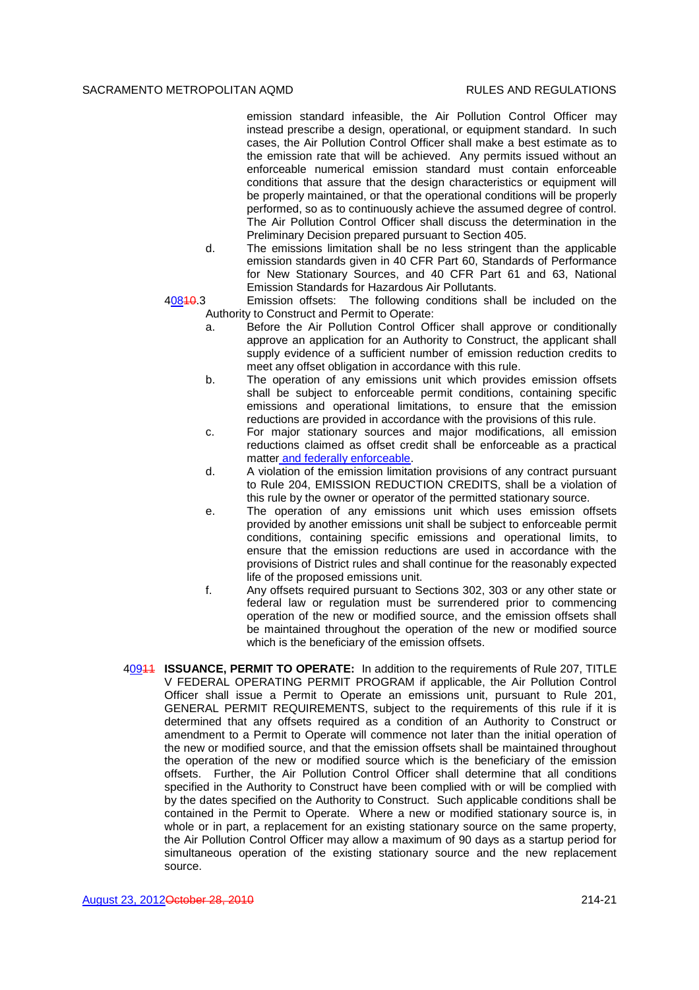emission standard infeasible, the Air Pollution Control Officer may instead prescribe a design, operational, or equipment standard. In such cases, the Air Pollution Control Officer shall make a best estimate as to the emission rate that will be achieved. Any permits issued without an enforceable numerical emission standard must contain enforceable conditions that assure that the design characteristics or equipment will be properly maintained, or that the operational conditions will be properly performed, so as to continuously achieve the assumed degree of control. The Air Pollution Control Officer shall discuss the determination in the Preliminary Decision prepared pursuant to Section 405.

d. The emissions limitation shall be no less stringent than the applicable emission standards given in 40 CFR Part 60, Standards of Performance for New Stationary Sources, and 40 CFR Part 61 and 63, National Emission Standards for Hazardous Air Pollutants.

- 40810.3 Emission offsets: The following conditions shall be included on the Authority to Construct and Permit to Operate:
	- a. Before the Air Pollution Control Officer shall approve or conditionally approve an application for an Authority to Construct, the applicant shall supply evidence of a sufficient number of emission reduction credits to meet any offset obligation in accordance with this rule.
	- b. The operation of any emissions unit which provides emission offsets shall be subject to enforceable permit conditions, containing specific emissions and operational limitations, to ensure that the emission reductions are provided in accordance with the provisions of this rule.
	- c. For major stationary sources and major modifications, all emission reductions claimed as offset credit shall be enforceable as a practical matter and federally enforceable.
	- d. A violation of the emission limitation provisions of any contract pursuant to Rule 204, EMISSION REDUCTION CREDITS, shall be a violation of this rule by the owner or operator of the permitted stationary source.
	- e. The operation of any emissions unit which uses emission offsets provided by another emissions unit shall be subject to enforceable permit conditions, containing specific emissions and operational limits, to ensure that the emission reductions are used in accordance with the provisions of District rules and shall continue for the reasonably expected life of the proposed emissions unit.
	- f. Any offsets required pursuant to Sections 302, 303 or any other state or federal law or regulation must be surrendered prior to commencing operation of the new or modified source, and the emission offsets shall be maintained throughout the operation of the new or modified source which is the beneficiary of the emission offsets.
- 40911 **ISSUANCE, PERMIT TO OPERATE:** In addition to the requirements of Rule 207, TITLE V FEDERAL OPERATING PERMIT PROGRAM if applicable, the Air Pollution Control Officer shall issue a Permit to Operate an emissions unit, pursuant to Rule 201, GENERAL PERMIT REQUIREMENTS, subject to the requirements of this rule if it is determined that any offsets required as a condition of an Authority to Construct or amendment to a Permit to Operate will commence not later than the initial operation of the new or modified source, and that the emission offsets shall be maintained throughout the operation of the new or modified source which is the beneficiary of the emission offsets. Further, the Air Pollution Control Officer shall determine that all conditions specified in the Authority to Construct have been complied with or will be complied with by the dates specified on the Authority to Construct. Such applicable conditions shall be contained in the Permit to Operate. Where a new or modified stationary source is, in whole or in part, a replacement for an existing stationary source on the same property, the Air Pollution Control Officer may allow a maximum of 90 days as a startup period for simultaneous operation of the existing stationary source and the new replacement source.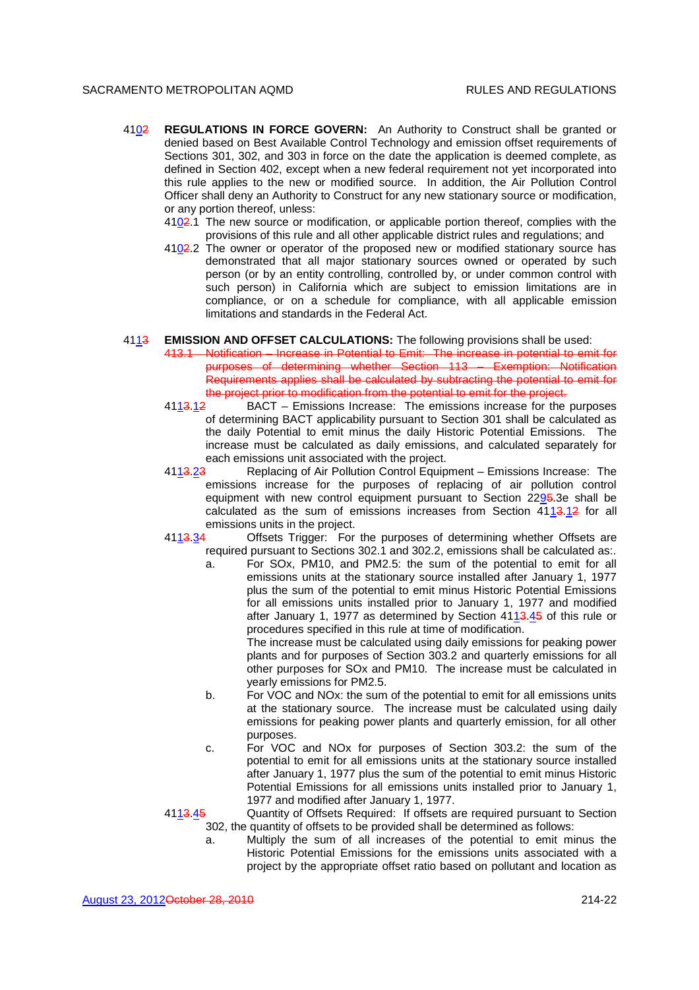- 4102 **REGULATIONS IN FORCE GOVERN:** An Authority to Construct shall be granted or denied based on Best Available Control Technology and emission offset requirements of Sections 301, 302, and 303 in force on the date the application is deemed complete, as defined in Section 402, except when a new federal requirement not yet incorporated into this rule applies to the new or modified source. In addition, the Air Pollution Control Officer shall deny an Authority to Construct for any new stationary source or modification, or any portion thereof, unless:
	- 4102.1 The new source or modification, or applicable portion thereof, complies with the provisions of this rule and all other applicable district rules and regulations; and
	- $4102.2$  The owner or operator of the proposed new or modified stationary source has demonstrated that all major stationary sources owned or operated by such person (or by an entity controlling, controlled by, or under common control with such person) in California which are subject to emission limitations are in compliance, or on a schedule for compliance, with all applicable emission limitations and standards in the Federal Act.

#### 4113 **EMISSION AND OFFSET CALCULATIONS:** The following provisions shall be used:

- 413.1 Notification Increase in Potential to Emit: The increase in potential to emit for purposes of determining whether Section 113 – Exemption: Notification Requirements applies shall be calculated by subtracting the potential to emit for the project prior to modification from the potential to emit for the project.
- 4113.12 BACT Emissions Increase: The emissions increase for the purposes of determining BACT applicability pursuant to Section 301 shall be calculated as the daily Potential to emit minus the daily Historic Potential Emissions. The increase must be calculated as daily emissions, and calculated separately for each emissions unit associated with the project.
- 4113.23 Replacing of Air Pollution Control Equipment Emissions Increase: The emissions increase for the purposes of replacing of air pollution control equipment with new control equipment pursuant to Section 2295.3e shall be calculated as the sum of emissions increases from Section 4113.12 for all emissions units in the project.
- 4113.34 Offsets Trigger: For the purposes of determining whether Offsets are required pursuant to Sections 302.1 and 302.2, emissions shall be calculated as:.
	- For SOx, PM10, and PM2.5: the sum of the potential to emit for all emissions units at the stationary source installed after January 1, 1977 plus the sum of the potential to emit minus Historic Potential Emissions for all emissions units installed prior to January 1, 1977 and modified after January 1, 1977 as determined by Section 4113.45 of this rule or procedures specified in this rule at time of modification.

The increase must be calculated using daily emissions for peaking power plants and for purposes of Section 303.2 and quarterly emissions for all other purposes for SOx and PM10. The increase must be calculated in yearly emissions for PM2.5.

- b. For VOC and NOx: the sum of the potential to emit for all emissions units at the stationary source. The increase must be calculated using daily emissions for peaking power plants and quarterly emission, for all other purposes.
- c. For VOC and NOx for purposes of Section 303.2: the sum of the potential to emit for all emissions units at the stationary source installed after January 1, 1977 plus the sum of the potential to emit minus Historic Potential Emissions for all emissions units installed prior to January 1, 1977 and modified after January 1, 1977.

4113.45 Quantity of Offsets Required: If offsets are required pursuant to Section 302, the quantity of offsets to be provided shall be determined as follows:

a. Multiply the sum of all increases of the potential to emit minus the Historic Potential Emissions for the emissions units associated with a project by the appropriate offset ratio based on pollutant and location as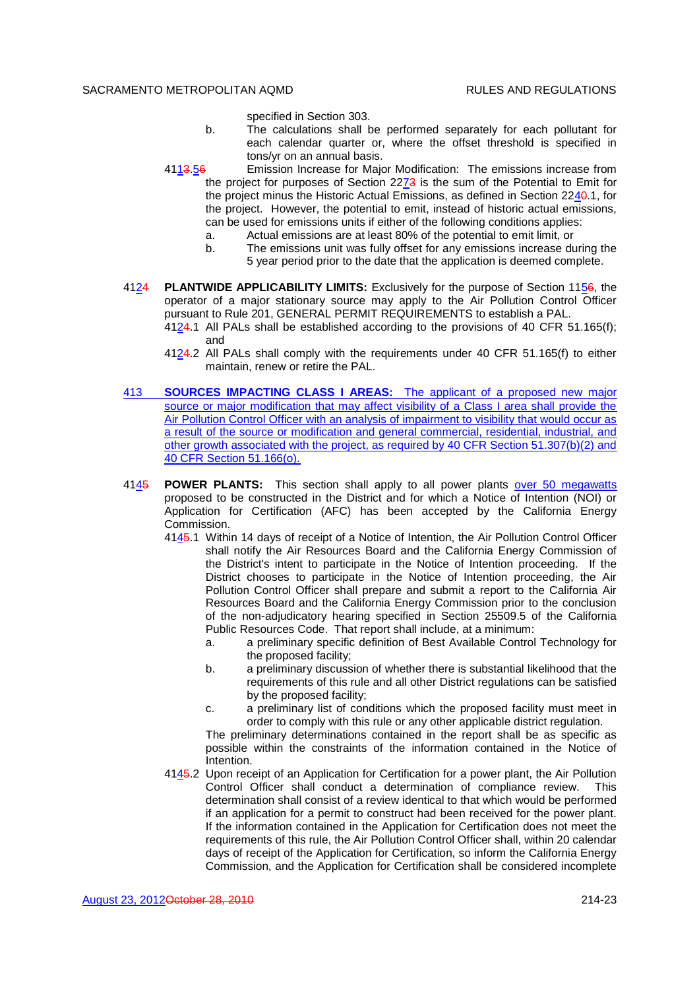specified in Section 303.

- b. The calculations shall be performed separately for each pollutant for each calendar quarter or, where the offset threshold is specified in tons/yr on an annual basis.
- 4113.56 Emission Increase for Major Modification: The emissions increase from the project for purposes of Section 2273 is the sum of the Potential to Emit for the project minus the Historic Actual Emissions, as defined in Section 2240.1, for the project. However, the potential to emit, instead of historic actual emissions, can be used for emissions units if either of the following conditions applies:
	- a. Actual emissions are at least 80% of the potential to emit limit, or
	- b. The emissions unit was fully offset for any emissions increase during the 5 year period prior to the date that the application is deemed complete.
- 4124 **PLANTWIDE APPLICABILITY LIMITS:** Exclusively for the purpose of Section 1156, the operator of a major stationary source may apply to the Air Pollution Control Officer pursuant to Rule 201, GENERAL PERMIT REQUIREMENTS to establish a PAL.
	- 4124.1 All PALs shall be established according to the provisions of 40 CFR 51.165(f); and
	- 4124.2 All PALs shall comply with the requirements under 40 CFR 51.165(f) to either maintain, renew or retire the PAL.
- 413 **SOURCES IMPACTING CLASS I AREAS:** The applicant of a proposed new major source or major modification that may affect visibility of a Class I area shall provide the Air Pollution Control Officer with an analysis of impairment to visibility that would occur as a result of the source or modification and general commercial, residential, industrial, and other growth associated with the project, as required by 40 CFR Section 51.307(b)(2) and 40 CFR Section 51.166(o).
- 4145 **POWER PLANTS:** This section shall apply to all power plants over 50 megawatts proposed to be constructed in the District and for which a Notice of Intention (NOI) or Application for Certification (AFC) has been accepted by the California Energy Commission.
	- 4145.1 Within 14 days of receipt of a Notice of Intention, the Air Pollution Control Officer shall notify the Air Resources Board and the California Energy Commission of the District's intent to participate in the Notice of Intention proceeding. If the District chooses to participate in the Notice of Intention proceeding, the Air Pollution Control Officer shall prepare and submit a report to the California Air Resources Board and the California Energy Commission prior to the conclusion of the non-adjudicatory hearing specified in Section 25509.5 of the California Public Resources Code. That report shall include, at a minimum:
		- a. a preliminary specific definition of Best Available Control Technology for the proposed facility;
		- b. a preliminary discussion of whether there is substantial likelihood that the requirements of this rule and all other District regulations can be satisfied by the proposed facility;
		- c. a preliminary list of conditions which the proposed facility must meet in order to comply with this rule or any other applicable district regulation.

The preliminary determinations contained in the report shall be as specific as possible within the constraints of the information contained in the Notice of Intention.

4145.2 Upon receipt of an Application for Certification for a power plant, the Air Pollution Control Officer shall conduct a determination of compliance review. This determination shall consist of a review identical to that which would be performed if an application for a permit to construct had been received for the power plant. If the information contained in the Application for Certification does not meet the requirements of this rule, the Air Pollution Control Officer shall, within 20 calendar days of receipt of the Application for Certification, so inform the California Energy Commission, and the Application for Certification shall be considered incomplete